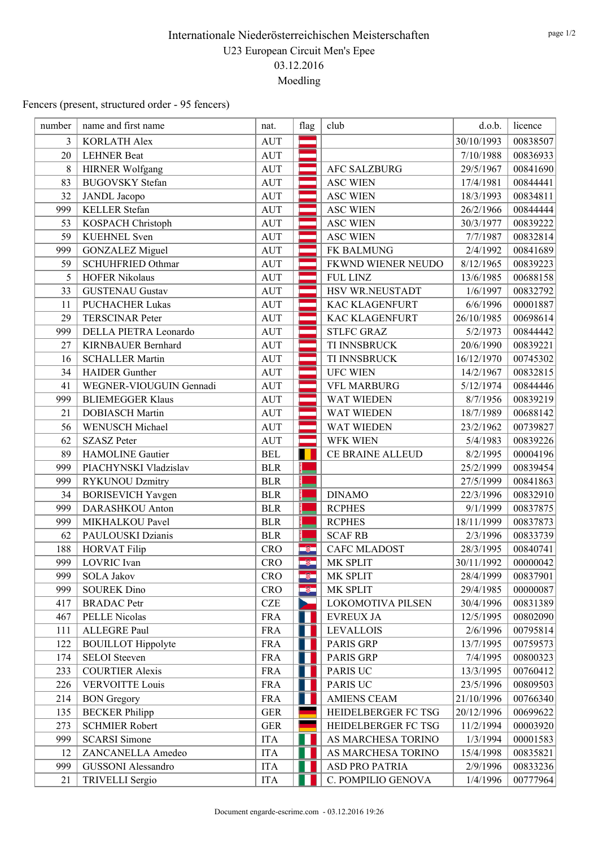Fencers (present, structured order - 95 fencers)

| number         | name and first name       | nat.       | flag | club                  | d.o.b.     | licence  |
|----------------|---------------------------|------------|------|-----------------------|------------|----------|
| $\overline{3}$ | <b>KORLATH Alex</b>       | <b>AUT</b> |      |                       | 30/10/1993 | 00838507 |
| 20             | <b>LEHNER Beat</b>        | <b>AUT</b> |      |                       | 7/10/1988  | 00836933 |
| 8              | <b>HIRNER Wolfgang</b>    | <b>AUT</b> |      | <b>AFC SALZBURG</b>   | 29/5/1967  | 00841690 |
| 83             | <b>BUGOVSKY</b> Stefan    | <b>AUT</b> |      | <b>ASC WIEN</b>       | 17/4/1981  | 00844441 |
| 32             | <b>JANDL</b> Jacopo       | <b>AUT</b> | --   | <b>ASC WIEN</b>       | 18/3/1993  | 00834811 |
| 999            | <b>KELLER</b> Stefan      | <b>AUT</b> |      | <b>ASC WIEN</b>       | 26/2/1966  | 00844444 |
| 53             | KOSPACH Christoph         | <b>AUT</b> |      | <b>ASC WIEN</b>       | 30/3/1977  | 00839222 |
| 59             | <b>KUEHNEL</b> Sven       | <b>AUT</b> |      | <b>ASC WIEN</b>       | 7/7/1987   | 00832814 |
| 999            | <b>GONZALEZ Miguel</b>    | <b>AUT</b> |      | FK BALMUNG            | 2/4/1992   | 00841689 |
| 59             | <b>SCHUHFRIED Othmar</b>  | <b>AUT</b> |      | FKWND WIENER NEUDO    | 8/12/1965  | 00839223 |
| 5              | <b>HOFER Nikolaus</b>     | <b>AUT</b> |      | <b>FUL LINZ</b>       | 13/6/1985  | 00688158 |
| 33             | <b>GUSTENAU Gustav</b>    | <b>AUT</b> |      | HSV WR.NEUSTADT       | 1/6/1997   | 00832792 |
| 11             | <b>PUCHACHER Lukas</b>    | <b>AUT</b> | ---  | <b>KAC KLAGENFURT</b> | 6/6/1996   | 00001887 |
| 29             | <b>TERSCINAR Peter</b>    | <b>AUT</b> |      | KAC KLAGENFURT        | 26/10/1985 | 00698614 |
| 999            | DELLA PIETRA Leonardo     | <b>AUT</b> |      | <b>STLFC GRAZ</b>     | 5/2/1973   | 00844442 |
| 27             | KIRNBAUER Bernhard        | <b>AUT</b> |      | TI INNSBRUCK          | 20/6/1990  | 00839221 |
| 16             | <b>SCHALLER Martin</b>    | <b>AUT</b> |      | TI INNSBRUCK          | 16/12/1970 | 00745302 |
| 34             | <b>HAIDER</b> Gunther     | <b>AUT</b> |      | <b>UFC WIEN</b>       | 14/2/1967  | 00832815 |
| 41             | WEGNER-VIOUGUIN Gennadi   | <b>AUT</b> |      | <b>VFL MARBURG</b>    | 5/12/1974  | 00844446 |
| 999            | <b>BLIEMEGGER Klaus</b>   | <b>AUT</b> |      | <b>WAT WIEDEN</b>     | 8/7/1956   | 00839219 |
| 21             | <b>DOBIASCH Martin</b>    | <b>AUT</b> |      | WAT WIEDEN            | 18/7/1989  | 00688142 |
| 56             | WENUSCH Michael           | <b>AUT</b> |      | WAT WIEDEN            | 23/2/1962  | 00739827 |
| 62             | <b>SZASZ Peter</b>        | <b>AUT</b> |      | WFK WIEN              | 5/4/1983   | 00839226 |
| 89             | HAMOLINE Gautier          | <b>BEL</b> |      | CE BRAINE ALLEUD      | 8/2/1995   | 00004196 |
| 999            | PIACHYNSKI Vladzislav     | <b>BLR</b> |      |                       | 25/2/1999  | 00839454 |
| 999            | <b>RYKUNOU Dzmitry</b>    | <b>BLR</b> |      |                       | 27/5/1999  | 00841863 |
| 34             | <b>BORISEVICH Yavgen</b>  | <b>BLR</b> |      | <b>DINAMO</b>         | 22/3/1996  | 00832910 |
| 999            | DARASHKOU Anton           | <b>BLR</b> |      | <b>RCPHES</b>         | 9/1/1999   | 00837875 |
| 999            | MIKHALKOU Pavel           | <b>BLR</b> |      | <b>RCPHES</b>         | 18/11/1999 | 00837873 |
| 62             | PAULOUSKI Dzianis         | <b>BLR</b> |      | <b>SCAF RB</b>        | 2/3/1996   | 00833739 |
| 188            | <b>HORVAT Filip</b>       | <b>CRO</b> | -8   | <b>CAFC MLADOST</b>   | 28/3/1995  | 00840741 |
| 999            | LOVRIC Ivan               | <b>CRO</b> | -81  | MK SPLIT              | 30/11/1992 | 00000042 |
| 999            | <b>SOLA Jakov</b>         | <b>CRO</b> | -8   | MK SPLIT              | 28/4/1999  | 00837901 |
| 999            | <b>SOUREK Dino</b>        | <b>CRO</b> | -81  | MK SPLIT              | 29/4/1985  | 00000087 |
| 417            | <b>BRADAC</b> Petr        | <b>CZE</b> |      | LOKOMOTIVA PILSEN     | 30/4/1996  | 00831389 |
| 467            | PELLE Nicolas             | <b>FRA</b> |      | <b>EVREUX JA</b>      | 12/5/1995  | 00802090 |
| 111            | ALLEGRE Paul              | <b>FRA</b> |      | <b>LEVALLOIS</b>      | 2/6/1996   | 00795814 |
| 122            | <b>BOUILLOT</b> Hippolyte | <b>FRA</b> |      | <b>PARIS GRP</b>      | 13/7/1995  | 00759573 |
| 174            | <b>SELOI</b> Steeven      | <b>FRA</b> |      | PARIS GRP             | 7/4/1995   | 00800323 |
| 233            | <b>COURTIER Alexis</b>    | <b>FRA</b> |      | <b>PARIS UC</b>       | 13/3/1995  | 00760412 |
| 226            | <b>VERVOITTE Louis</b>    | <b>FRA</b> |      | <b>PARIS UC</b>       | 23/5/1996  | 00809503 |
| 214            | <b>BON</b> Gregory        | <b>FRA</b> |      | <b>AMIENS CEAM</b>    | 21/10/1996 | 00766340 |
| 135            | <b>BECKER Philipp</b>     | <b>GER</b> |      | HEIDELBERGER FC TSG   | 20/12/1996 | 00699622 |
| 273            | <b>SCHMIER Robert</b>     | <b>GER</b> |      | HEIDELBERGER FC TSG   | 11/2/1994  | 00003920 |
| 999            | <b>SCARSI</b> Simone      | <b>ITA</b> |      | AS MARCHESA TORINO    | 1/3/1994   | 00001583 |
| 12             | ZANCANELLA Amedeo         | <b>ITA</b> |      | AS MARCHESA TORINO    | 15/4/1998  | 00835821 |
| 999            | <b>GUSSONI</b> Alessandro | <b>ITA</b> |      | ASD PRO PATRIA        | 2/9/1996   | 00833236 |
| 21             | TRIVELLI Sergio           | <b>ITA</b> |      | C. POMPILIO GENOVA    | 1/4/1996   | 00777964 |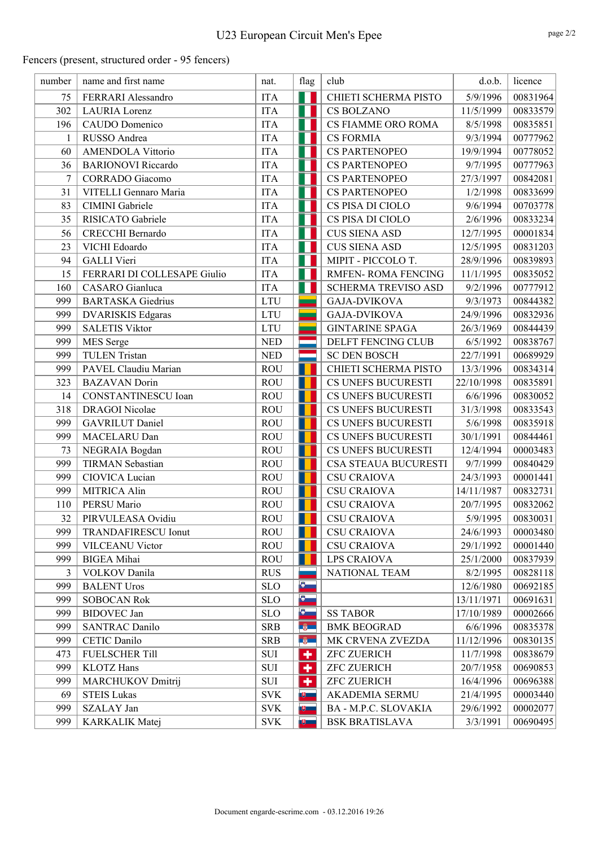# U23 European Circuit Men's Epee

Fencers (present, structured order - 95 fencers)

| number         | name and first name         | nat.                      | flag      | club                       | d.o.b.     | licence  |
|----------------|-----------------------------|---------------------------|-----------|----------------------------|------------|----------|
| 75             | FERRARI Alessandro          | <b>ITA</b>                |           | CHIETI SCHERMA PISTO       | 5/9/1996   | 00831964 |
| 302            | <b>LAURIA</b> Lorenz        | <b>ITA</b>                |           | CS BOLZANO                 | 11/5/1999  | 00833579 |
| 196            | CAUDO Domenico              | <b>ITA</b>                | ш         | <b>CS FIAMME ORO ROMA</b>  | 8/5/1998   | 00835851 |
| 1              | RUSSO Andrea                | <b>ITA</b>                | ш         | <b>CS FORMIA</b>           | 9/3/1994   | 00777962 |
| 60             | <b>AMENDOLA Vittorio</b>    | <b>ITA</b>                |           | <b>CS PARTENOPEO</b>       | 19/9/1994  | 00778052 |
| 36             | <b>BARIONOVI</b> Riccardo   | <b>ITA</b>                |           | <b>CS PARTENOPEO</b>       | 9/7/1995   | 00777963 |
| $\overline{7}$ | CORRADO Giacomo             | <b>ITA</b>                |           | <b>CS PARTENOPEO</b>       | 27/3/1997  | 00842081 |
| 31             | VITELLI Gennaro Maria       | <b>ITA</b>                |           | <b>CS PARTENOPEO</b>       | 1/2/1998   | 00833699 |
| 83             | <b>CIMINI</b> Gabriele      | <b>ITA</b>                |           | CS PISA DI CIOLO           | 9/6/1994   | 00703778 |
| 35             | RISICATO Gabriele           | <b>ITA</b>                |           | CS PISA DI CIOLO           | 2/6/1996   | 00833234 |
| 56             | CRECCHI Bernardo            | <b>ITA</b>                |           | <b>CUS SIENA ASD</b>       | 12/7/1995  | 00001834 |
| 23             | VICHI Edoardo               | <b>ITA</b>                | ш         | <b>CUS SIENA ASD</b>       | 12/5/1995  | 00831203 |
| 94             | <b>GALLI</b> Vieri          | <b>ITA</b>                |           | MIPIT - PICCOLO T.         | 28/9/1996  | 00839893 |
| 15             | FERRARI DI COLLESAPE Giulio | <b>ITA</b>                |           | <b>RMFEN- ROMA FENCING</b> | 11/1/1995  | 00835052 |
| 160            | CASARO Gianluca             | <b>ITA</b>                |           | SCHERMA TREVISO ASD        | 9/2/1996   | 00777912 |
| 999            | <b>BARTASKA</b> Giedrius    | <b>LTU</b>                |           | <b>GAJA-DVIKOVA</b>        | 9/3/1973   | 00844382 |
| 999            | <b>DVARISKIS Edgaras</b>    | <b>LTU</b>                |           | <b>GAJA-DVIKOVA</b>        | 24/9/1996  | 00832936 |
| 999            | <b>SALETIS Viktor</b>       | <b>LTU</b>                |           | <b>GINTARINE SPAGA</b>     | 26/3/1969  | 00844439 |
| 999            | MES Serge                   | <b>NED</b>                |           | DELFT FENCING CLUB         | 6/5/1992   | 00838767 |
| 999            | <b>TULEN Tristan</b>        | <b>NED</b>                |           | <b>SC DEN BOSCH</b>        | 22/7/1991  | 00689929 |
| 999            | PAVEL Claudiu Marian        | <b>ROU</b>                |           | CHIETI SCHERMA PISTO       | 13/3/1996  | 00834314 |
| 323            | <b>BAZAVAN</b> Dorin        | <b>ROU</b>                |           | CS UNEFS BUCURESTI         | 22/10/1998 | 00835891 |
| 14             | CONSTANTINESCU Ioan         | <b>ROU</b>                |           | CS UNEFS BUCURESTI         | 6/6/1996   | 00830052 |
| 318            | <b>DRAGOI</b> Nicolae       | <b>ROU</b>                |           | CS UNEFS BUCURESTI         | 31/3/1998  | 00833543 |
| 999            | <b>GAVRILUT</b> Daniel      | <b>ROU</b>                |           | CS UNEFS BUCURESTI         | 5/6/1998   | 00835918 |
| 999            | MACELARU Dan                | <b>ROU</b>                |           | CS UNEFS BUCURESTI         | 30/1/1991  | 00844461 |
| 73             | NEGRAIA Bogdan              | <b>ROU</b>                |           | CS UNEFS BUCURESTI         | 12/4/1994  | 00003483 |
| 999            | <b>TIRMAN Sebastian</b>     | <b>ROU</b>                |           | CSA STEAUA BUCURESTI       | 9/7/1999   | 00840429 |
| 999            | CIOVICA Lucian              | <b>ROU</b>                |           | <b>CSU CRAIOVA</b>         | 24/3/1993  | 00001441 |
| 999            | MITRICA Alin                | <b>ROU</b>                |           | <b>CSU CRAIOVA</b>         | 14/11/1987 | 00832731 |
| 110            | PERSU Mario                 | <b>ROU</b>                |           | <b>CSU CRAIOVA</b>         | 20/7/1995  | 00832062 |
| 32             | PIRVULEASA Ovidiu           | <b>ROU</b>                |           | <b>CSU CRAIOVA</b>         | 5/9/1995   | 00830031 |
| 999            | <b>TRANDAFIRESCU Ionut</b>  | <b>ROU</b>                |           | <b>CSU CRAIOVA</b>         | 24/6/1993  | 00003480 |
| 999            | <b>VILCEANU Victor</b>      | <b>ROU</b>                |           | <b>CSU CRAIOVA</b>         | 29/1/1992  | 00001440 |
| 999            | <b>BIGEA</b> Mihai          | <b>ROU</b>                |           | LPS CRAIOVA                | 25/1/2000  | 00837939 |
| 3              | <b>VOLKOV</b> Danila        | <b>RUS</b>                |           | <b>NATIONAL TEAM</b>       | 8/2/1995   | 00828118 |
| 999            | <b>BALENT Uros</b>          | <b>SLO</b>                | o.        |                            | 12/6/1980  | 00692185 |
| 999            | <b>SOBOCAN Rok</b>          | <b>SLO</b>                | $\bullet$ |                            | 13/11/1971 | 00691631 |
| 999            | <b>BIDOVEC</b> Jan          | <b>SLO</b>                | $\bullet$ | <b>SS TABOR</b>            | 17/10/1989 | 00002666 |
| 999            | <b>SANTRAC Danilo</b>       | <b>SRB</b>                | $-6$      | <b>BMK BEOGRAD</b>         | 6/6/1996   | 00835378 |
| 999            | CETIC Danilo                | <b>SRB</b>                | $-6$      | MK CRVENA ZVEZDA           | 11/12/1996 | 00830135 |
| 473            | <b>FUELSCHER Till</b>       | ${\rm SUI}$               | ٠         | <b>ZFC ZUERICH</b>         | 11/7/1998  | 00838679 |
| 999            | <b>KLOTZ</b> Hans           | SUI                       | ٠         | <b>ZFC ZUERICH</b>         | 20/7/1958  | 00690853 |
| 999            | <b>MARCHUKOV Dmitrij</b>    | SUI                       | ٠         | <b>ZFC ZUERICH</b>         | 16/4/1996  | 00696388 |
| 69             | <b>STEIS Lukas</b>          | <b>SVK</b>                | 电二        | <b>AKADEMIA SERMU</b>      | 21/4/1995  | 00003440 |
| 999            | SZALAY Jan                  | <b>SVK</b>                | 地         | BA - M.P.C. SLOVAKIA       | 29/6/1992  | 00002077 |
| 999            | KARKALIK Matej              | $\ensuremath{\text{SVK}}$ | 典         | <b>BSK BRATISLAVA</b>      | 3/3/1991   | 00690495 |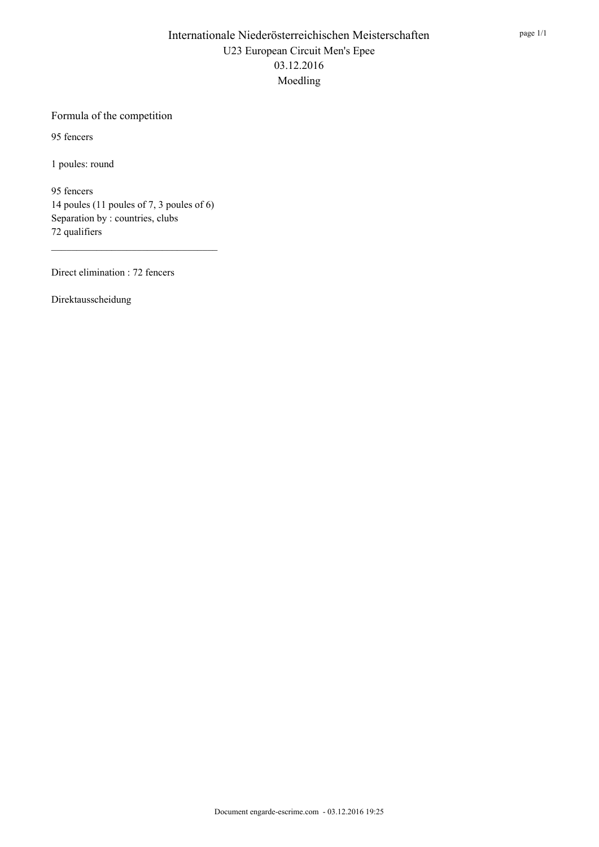#### Formula of the competition

95 fencers

1 poules: round

95 fencers 14 poules (11 poules of 7, 3 poules of 6) Separation by : countries, clubs 72 qualifiers

Direct elimination : 72 fencers

Direktausscheidung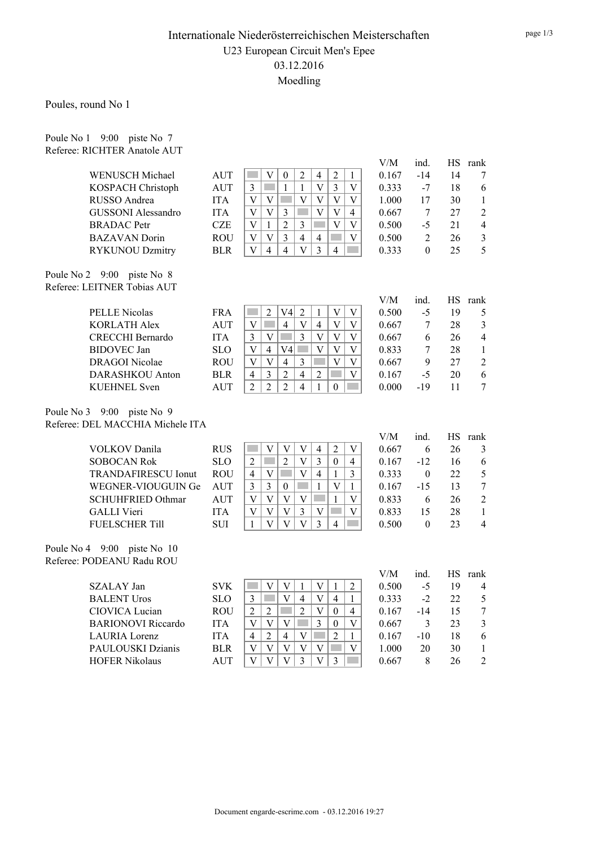Poules, round No 1

Poule No 1 9:00 piste No 7 Referee: RICHTER Anatole AUT

|                                  |            |                                                                                                                                             | V/M   | ind.             |    | HS rank          |
|----------------------------------|------------|---------------------------------------------------------------------------------------------------------------------------------------------|-------|------------------|----|------------------|
| WENUSCH Michael                  | AUT        | $\overline{V}$<br>$\sqrt{2}$<br>$\overline{c}$<br>$\mathbf{1}$<br>$\boldsymbol{0}$<br>$\overline{4}$<br><b>College</b>                      | 0.167 | $-14$            | 14 | 7                |
| KOSPACH Christoph                | <b>AUT</b> | $\overline{V}$<br>3<br>$\overline{3}$<br>$\mathbf{1}$<br>$\mathbf{1}$<br>T.<br>V                                                            | 0.333 | $-7$             | 18 | 6                |
| RUSSO Andrea                     | <b>ITA</b> | $\mathbf V$<br>$\overline{\mathsf{V}}$<br>$\bar{V}$<br>$\mathbf V$<br>$\mathbf V$<br>$\mathbf V$                                            | 1.000 | 17               | 30 | $\mathbf{1}$     |
| <b>GUSSONI</b> Alessandro        | <b>ITA</b> | $\overline{V}$<br>$\mathbf V$<br>$\mathbf V$<br>$\mathbf V$<br>$\mathfrak{Z}$<br>4                                                          | 0.667 | $\tau$           | 27 | $\overline{c}$   |
| <b>BRADAC</b> Petr               | CZE        | $\overline{2}$<br>$\overline{V}$<br>3<br>V<br>П<br>$\mathbf V$<br>$\mathbf{1}$                                                              | 0.500 | $-5$             | 21 | $\overline{4}$   |
| <b>BAZAVAN</b> Dorin             | ROU        | $\overline{3}$<br>$\overline{4}$<br>$\mathbf{V}$<br>$\mathbf V$<br>$\overline{4}$<br>$\mathbf{V}$<br><b>Film</b>                            | 0.500 | $\overline{2}$   | 26 | $\mathfrak{Z}$   |
| <b>RYKUNOU Dzmitry</b>           | <b>BLR</b> | $\overline{4}$<br>$\overline{V}$<br>$\mathbf{V}$<br>$\overline{4}$<br>$\overline{3}$<br>$\overline{4}$<br><b>Tara</b>                       | 0.333 | $\theta$         | 25 | 5                |
| Poule No 2 9:00 piste No 8       |            |                                                                                                                                             |       |                  |    |                  |
| Referee: LEITNER Tobias AUT      |            |                                                                                                                                             |       |                  |    |                  |
|                                  |            |                                                                                                                                             | V/M   | ind.             |    | HS rank          |
| <b>PELLE Nicolas</b>             | <b>FRA</b> | $\overline{2}$<br>$\overline{c}$<br>V4<br>$\ensuremath{\mathbf{V}}$<br>$\mathbf{1}$<br>$\ensuremath{\mathbf{V}}$                            | 0.500 | $-5$             | 19 | 5                |
| <b>KORLATH Alex</b>              | <b>AUT</b> | $\mathbf V$<br>$\overline{4}$<br>$\overline{\mathbf{V}}$<br>$\overline{4}$<br>$\bar{V}$<br><b>Tara</b><br>V                                 | 0.667 | 7                | 28 | 3                |
| <b>CRECCHI Bernardo</b>          | <b>ITA</b> | $\bar{V}$<br>$\mathfrak{Z}$<br>$\mathbf V$<br>$\overline{3}$<br>$\mathbf V$<br>$\ensuremath{\mathbf{V}}$                                    | 0.667 | 6                | 26 | $\overline{4}$   |
| <b>BIDOVEC</b> Jan               | <b>SLO</b> | $\bar{V}$<br>$\ensuremath{\mathbf{V}}$<br>V4<br>$\overline{V}$<br>$\overline{4}$<br>V                                                       | 0.833 | $\boldsymbol{7}$ | 28 | $\mathbf{1}$     |
| <b>DRAGOI</b> Nicolae            | <b>ROU</b> | $\overline{4}$<br>$\overline{\mathbf{V}}$<br>$\overline{V}$<br>$\overline{\mathbf{V}}$<br>3<br>$\overline{\mathbf{V}}$                      | 0.667 | 9                | 27 | $\sqrt{2}$       |
| <b>DARASHKOU</b> Anton           | <b>BLR</b> | $\overline{2}$<br>$\overline{4}$<br>$\overline{2}$<br><b>Film</b><br>$\mathbf V$<br>4<br>3                                                  | 0.167 | $-5$             | 20 | 6                |
| <b>KUEHNEL</b> Sven              | <b>AUT</b> | $\overline{2}$<br>$\overline{2}$<br>$\overline{2}$<br>$\overline{4}$<br>$\mathbf{1}$<br>$\overline{0}$<br><b>Contract</b>                   | 0.000 | $-19$            | 11 | $\overline{7}$   |
| Poule No 3 9:00 piste No 9       |            |                                                                                                                                             |       |                  |    |                  |
| Referee: DEL MACCHIA Michele ITA |            |                                                                                                                                             |       |                  |    |                  |
|                                  |            |                                                                                                                                             | V/M   | ind.             |    | HS rank          |
| <b>VOLKOV</b> Danila             | <b>RUS</b> | $\overline{V}$<br>$\overline{V}$<br>$\overline{2}$<br>V<br>$\overline{4}$<br>$\mathbf V$<br><b>College</b>                                  | 0.667 | 6                | 26 | 3                |
| <b>SOBOCAN Rok</b>               | <b>SLO</b> | $\overline{\mathbf{V}}$<br>$\overline{2}$<br>$\mathfrak{Z}$<br>$\overline{2}$<br><b>College</b><br>$\boldsymbol{0}$<br>4                    | 0.167 | $-12$            | 16 | 6                |
| <b>TRANDAFIRESCU Ionut</b>       | <b>ROU</b> | <b>Tara</b><br>$\bar{V}$<br>$\mathbf{1}$<br>$\overline{4}$<br>$\mathbf{V}$<br>$\overline{4}$<br>3                                           | 0.333 | $\boldsymbol{0}$ | 22 | 5                |
| WEGNER-VIOUGUIN Ge               | <b>AUT</b> | $\mathfrak{Z}$<br>$\overline{3}$<br>$\ensuremath{\mathbf{V}}$<br>$\boldsymbol{0}$<br>$\mathbf{1}$<br>1                                      | 0.167 | $-15$            | 13 | $\boldsymbol{7}$ |
| <b>SCHUHFRIED Othmar</b>         | <b>AUT</b> | $\mathbf V$<br>$\mathbf V$<br>$\mathbf{V}$<br>$\overline{V}$<br>$\mathbf{1}$<br>V                                                           | 0.833 | 6                | 26 | $\overline{2}$   |
| <b>GALLI</b> Vieri               | <b>ITA</b> | $\mathbf{V}$<br>$\overline{3}$<br>$\overline{V}$<br>$\overline{V}$<br>$\mathbf V$<br>V                                                      | 0.833 | 15               | 28 | $\mathbf{1}$     |
| <b>FUELSCHER Till</b>            | SUI        | $\overline{\mathbf{V}}$<br>$\overline{V}$<br>$\overline{\mathbf{V}}$<br>$\overline{3}$<br>$\mathbf{1}$<br>$\overline{4}$                    | 0.500 | $\boldsymbol{0}$ | 23 | $\overline{4}$   |
| Poule No 4 9:00 piste No 10      |            |                                                                                                                                             |       |                  |    |                  |
| Referee: PODEANU Radu ROU        |            |                                                                                                                                             |       |                  |    |                  |
|                                  |            |                                                                                                                                             | V/M   | ind.             | HS | rank             |
| SZALAY Jan                       | <b>SVK</b> | $\overline{V}$<br>$\mathbf{V}$<br>$\mathbf V$<br>$\overline{2}$<br><b>College</b><br>$\mathbf{1}$<br>$\mathbf{1}$                           | 0.500 | $-5$             | 19 | 4                |
| <b>BALENT Uros</b>               | <b>SLO</b> | $\mathbf{V}$<br>$\overline{4}$<br>$\overline{\mathbf{V}}$<br>$\mathfrak{Z}$<br>$\mathcal{L}^{\text{max}}$<br>$\overline{4}$<br>$\mathbf{1}$ | 0.333 | $-2$             | 22 | 5                |
| CIOVICA Lucian                   | <b>ROU</b> | $\overline{2}$<br>$\overline{c}$<br>$\overline{\mathbf{V}}$<br>$\overline{2}$<br><b>Film</b><br>$\boldsymbol{0}$<br>$\overline{4}$          | 0.167 | $-14$            | 15 | $\tau$           |
| <b>BARIONOVI</b> Riccardo        | <b>ITA</b> | $\overline{3}$<br>$\mathbf V$<br>$\mathbf V$<br>V<br>$\boldsymbol{0}$<br>V                                                                  | 0.667 | 3                | 23 | $\mathfrak{Z}$   |
| <b>LAURIA</b> Lorenz             | <b>ITA</b> | $\overline{2}$<br>$\overline{\mathsf{V}}$<br>$\overline{2}$<br>$\overline{4}$<br>$\overline{4}$<br>$\mathbf{1}$                             | 0.167 | $-10$            | 18 | 6                |
| PAULOUSKI Dzianis                | <b>BLR</b> | $\overline{V}$<br>$\ensuremath{\mathbf{V}}$<br>$\overline{V}$<br>$\ensuremath{\mathbf{V}}$<br>$\mathbf V$<br>$\mathbf{V}$                   | 1.000 | 20               | 30 | $\mathbf{1}$     |
| <b>HOFER Nikolaus</b>            | <b>AUT</b> | $\overline{V}$<br>$\overline{3}$<br>$\overline{V}$<br>$\overline{V}$<br>$\overline{V}$<br>3                                                 | 0.667 | 8                | 26 | $\overline{2}$   |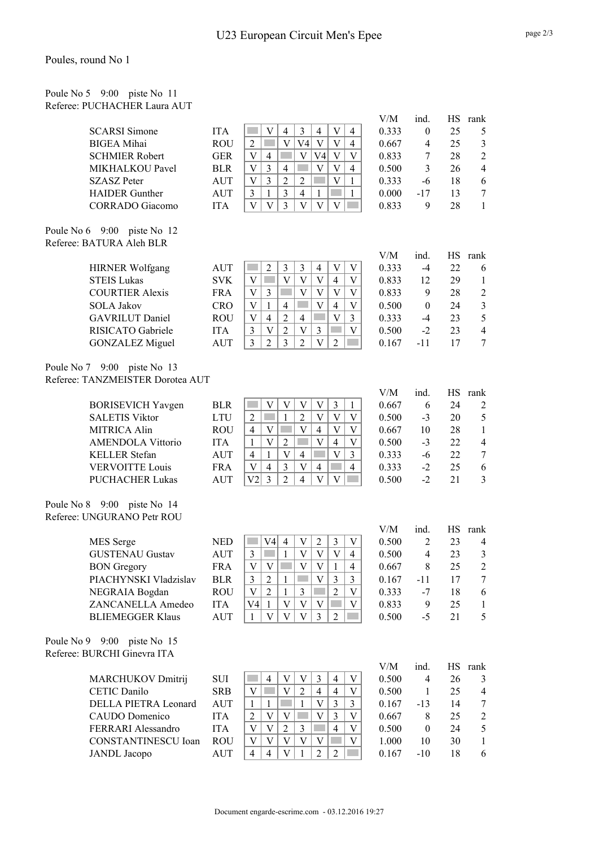#### Poules, round No 1

|                                                              | Poule No 5 9:00 piste No 11  |
|--------------------------------------------------------------|------------------------------|
|                                                              | Referee: PUCHACHER Laura AUT |
|                                                              |                              |
| $\alpha$ $\alpha$ $\beta$ $\alpha$ $\alpha$ $\beta$ $\gamma$ |                              |

|                                  |            |                                                                                                                   | V/M          | ind.             | <b>HS</b> | rank                     |
|----------------------------------|------------|-------------------------------------------------------------------------------------------------------------------|--------------|------------------|-----------|--------------------------|
| <b>SCARSI Simone</b>             | <b>ITA</b> | $\mathfrak{Z}$<br>V<br>$\overline{4}$<br>$\overline{4}$<br>V<br>$\overline{\mathbf{4}}$                           | 0.333        | $\mathbf{0}$     | 25        | 5                        |
| <b>BIGEA</b> Mihai               | <b>ROU</b> | $\overline{\mathsf{V}}$<br>$\overline{2}$<br>$\overline{\mathbf{V}}$<br>V <sub>4</sub><br>V<br>$\overline{4}$     | 0.667        | $\overline{4}$   | 25        | 3                        |
| <b>SCHMIER Robert</b>            | <b>GER</b> | $\mathbf{V}$<br>V4<br>$\overline{\mathbf{V}}$<br>V<br>$\overline{4}$<br>$\mathbf{V}$                              | 0.833        | 7                | 28        | $\overline{2}$           |
| MIKHALKOU Pavel                  | <b>BLR</b> | V<br>3<br>V<br>V<br>$\overline{4}$<br>in.<br>4                                                                    | 0.500        | 3                | 26        | $\overline{4}$           |
| <b>SZASZ Peter</b>               | <b>AUT</b> | 3<br>$\overline{2}$<br>$\sqrt{2}$<br>V<br>V<br>$\mathbf{1}$                                                       | 0.333        | $-6$             | 18        | $\sqrt{6}$               |
| <b>HAIDER</b> Gunther            | <b>AUT</b> | 3<br>$\mathfrak{Z}$<br>$\mathbf{1}$<br>$\overline{4}$<br>$\mathbf{1}$<br>$\mathbf{1}$                             | 0.000        | $-17$            | 13        | 7                        |
| <b>CORRADO</b> Giacomo           | <b>ITA</b> | $\overline{\mathbf{V}}$<br>$\overline{3}$<br>V<br>V<br>V<br>$\mathbf V$                                           | 0.833        | 9                | 28        | $\mathbf{1}$             |
| Poule No 6 9:00 piste No 12      |            |                                                                                                                   |              |                  |           |                          |
| Referee: BATURA Aleh BLR         |            |                                                                                                                   |              |                  |           |                          |
| <b>HIRNER Wolfgang</b>           | AUT        | 3<br>$\mathfrak{Z}$<br>2<br>$\overline{4}$<br>V<br>V                                                              | V/M<br>0.333 | ind.<br>$-4$     | 22        | HS rank<br>6             |
| <b>STEIS Lukas</b>               | <b>SVK</b> | $\overline{\mathbf{V}}$<br>$\mathbf V$<br>$\ensuremath{\mathbf{V}}$<br>V<br>$\overline{4}$<br>V                   | 0.833        | 12               | 29        |                          |
|                                  |            | V<br><b>Tara</b><br>$\mathbf V$<br>V<br>V<br>V                                                                    |              |                  | 28        | 1                        |
| <b>COURTIER Alexis</b>           | <b>FRA</b> | $\mathfrak{Z}$                                                                                                    | 0.833        | 9                |           | $\overline{\mathbf{c}}$  |
| <b>SOLA Jakov</b>                | <b>CRO</b> | V<br>$\mathbf{1}$<br>$\overline{4}$<br>V<br>$\overline{4}$<br>$\mathbf{V}$                                        | 0.500        | $\mathbf{0}$     | 24        | $\mathfrak{Z}$           |
| <b>GAVRILUT</b> Daniel           | <b>ROU</b> | $\overline{2}$<br>V<br><b>Tara</b><br>V<br>$\overline{4}$<br>$\overline{4}$<br>3                                  | 0.333        | $-4$             | 23        | 5                        |
| RISICATO Gabriele                | <b>ITA</b> | $\overline{2}$<br>$\mathfrak{Z}$<br>$\overline{3}$<br>$\mathbf V$<br>$\mathbf V$<br>$\mathbf V$                   | 0.500        | $-2$             | 23        | $\overline{4}$           |
| <b>GONZALEZ Miguel</b>           | <b>AUT</b> | 3<br>$\overline{c}$<br>3<br>$\overline{2}$<br>V<br>$\overline{2}$<br>m.                                           | 0.167        | $-11$            | 17        | 7                        |
| Poule No 7 9:00 piste No 13      |            |                                                                                                                   |              |                  |           |                          |
| Referee: TANZMEISTER Dorotea AUT |            |                                                                                                                   |              |                  |           |                          |
|                                  |            |                                                                                                                   | V/M          | ind.             | <b>HS</b> | rank                     |
| <b>BORISEVICH Yavgen</b>         | <b>BLR</b> | $\mathfrak{Z}$<br>V<br>V<br>V<br>V<br>$\mathbf{1}$                                                                | 0.667        | 6                | 24        | 2                        |
| <b>SALETIS Viktor</b>            | <b>LTU</b> | $\overline{2}$<br>$\mathbf{V}$<br>$\overline{2}$<br>$\mathbf{1}$<br>V<br>V                                        | 0.500        | $-3$             | 20        | $\mathfrak s$            |
| <b>MITRICA Alin</b>              | <b>ROU</b> | $\mathbf V$<br>$\overline{4}$<br>V<br>$\overline{4}$<br>V<br>V                                                    | 0.667        | 10               | 28        | $\mathbf{1}$             |
| <b>AMENDOLA Vittorio</b>         | <b>ITA</b> | $\overline{2}$<br>V<br>V<br>$\overline{4}$<br>V<br>1                                                              | 0.500        | $-3$             | 22        | $\overline{4}$           |
| <b>KELLER</b> Stefan             | <b>AUT</b> | $\overline{4}$<br>$\mathbf{1}$<br>V<br>$\overline{4}$<br>V<br>3                                                   | 0.333        | -6               | 22        | $\boldsymbol{7}$         |
| <b>VERVOITTE Louis</b>           | <b>FRA</b> | $\mathfrak{Z}$<br>$\mathbf V$<br>$\mathbf V$<br>$\overline{4}$<br>$\overline{4}$<br>$\overline{4}$                | 0.333        | $-2$             | 25        | 6                        |
| <b>PUCHACHER Lukas</b>           | <b>AUT</b> | V <sub>2</sub><br>3<br>$\overline{2}$<br>$\overline{4}$<br>$\overline{V}$<br>V                                    | 0.500        | $-2$             | 21        | 3                        |
| Poule No 8 9:00 piste No 14      |            |                                                                                                                   |              |                  |           |                          |
| Referee: UNGURANO Petr ROU       |            |                                                                                                                   |              |                  |           |                          |
|                                  |            |                                                                                                                   | V/M          | ind.             | <b>HS</b> | rank                     |
| MES Serge                        | <b>NED</b> | $\overline{2}$<br>3<br>V <sub>4</sub><br>$\overline{4}$<br>V<br>V                                                 | 0.500        | $\overline{2}$   | 23        | $\overline{4}$           |
| <b>GUSTENAU Gustav</b>           | <b>AUT</b> | $\mathbf V$<br>V<br>$\mathbf{1}$<br>V<br>$\overline{4}$<br>3                                                      | 0.500        | $\overline{4}$   | 23        | 3                        |
| <b>BON</b> Gregory               | <b>FRA</b> | V V <br>V V <br><b>The State</b><br>$\overline{1}$<br>$\overline{4}$                                              | 0.667        | 8                | $25\,$    | $\sqrt{2}$               |
| PIACHYNSKI Vladzislav            | <b>BLR</b> | $\mathfrak{Z}$<br>$\overline{3}$<br>3<br>$\overline{2}$<br>$\mathbf{1}$<br>V                                      | 0.167        | $-11$            | 17        | 7                        |
| NEGRAIA Bogdan                   | <b>ROU</b> | $\overline{c}$<br>$\ensuremath{\mathbf{V}}$<br>$\overline{2}$<br>$\mathfrak{Z}$<br>V<br>1                         | 0.333        | $-7$             | 18        | 6                        |
| ZANCANELLA Amedeo                | <b>ITA</b> | $\ensuremath{\mathbf{V}}$<br>V4<br>$\ensuremath{\mathbf{V}}$<br>$\mathbf V$<br>$\mathbf{1}$<br>V                  | 0.833        | 9                | 25        | $\mathbf 1$              |
| <b>BLIEMEGGER Klaus</b>          | <b>AUT</b> | V<br>V<br>V<br>3<br>$\overline{c}$<br>$\mathbf{1}$                                                                | 0.500        | $-5$             | 21        | 5                        |
| Poule No 9 9:00 piste No 15      |            |                                                                                                                   |              |                  |           |                          |
| Referee: BURCHI Ginevra ITA      |            |                                                                                                                   |              |                  |           |                          |
|                                  |            |                                                                                                                   | V/M          | ind.             |           | HS rank                  |
| MARCHUKOV Dmitrij                | SUI        | V<br>V<br>3<br>4<br>4<br>V                                                                                        | 0.500        | $\overline{4}$   | 26        | 3                        |
| CETIC Danilo                     | <b>SRB</b> | V<br>V<br>$\overline{2}$<br>$\overline{4}$<br>$\overline{4}$<br>V                                                 | 0.500        | 1                | 25        | $\overline{\mathcal{A}}$ |
| DELLA PIETRA Leonard             | AUT        | V<br>3<br>3<br>$\mathbf{1}$<br>$\mathbf{1}$<br>$\mathbf{1}$                                                       | 0.167        | $-13$            | 14        | 7                        |
| CAUDO Domenico                   | <b>ITA</b> | $\mathbf V$<br>$\overline{2}$<br>$\ensuremath{\mathbf{V}}$<br>3<br>V<br>V                                         | 0.667        | $\,8\,$          | 25        | $\boldsymbol{2}$         |
| FERRARI Alessandro               | <b>ITA</b> | $\overline{4}$<br>$\boldsymbol{\mathrm{V}}$<br>V<br>$\overline{2}$<br>$\mathfrak{Z}$<br>$\ensuremath{\mathbf{V}}$ | 0.500        | $\boldsymbol{0}$ | 24        | 5                        |
| CONSTANTINESCU Ioan              | <b>ROU</b> | $\overline{V}$<br>$\mathbf{V}$<br>$\mathbf{V}$<br>V<br>V<br>$\mathbf V$                                           | 1.000        | 10               | 30        | $\mathbf{1}$             |

JANDL Jacopo  $AUT \mid 4 \mid 4 \mid V \mid 1 \mid 2 \mid 2 \mid 2 \mid 0.167 -10 \mid 18 \mid 6$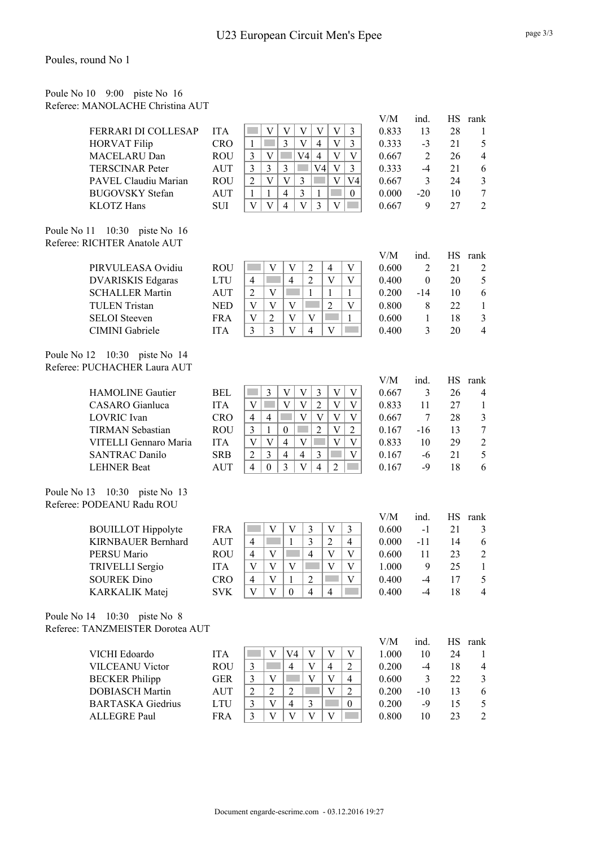#### Poules, round No 1

| Poule No 10 9:00 piste No 16     |  |  |
|----------------------------------|--|--|
| Referee: MANOLACHE Christina AUT |  |  |

|             |                                  |            |                                                                                                                                  | V/M   | ind.           | HS.       | rank                    |
|-------------|----------------------------------|------------|----------------------------------------------------------------------------------------------------------------------------------|-------|----------------|-----------|-------------------------|
|             | FERRARI DI COLLESAP              | <b>ITA</b> | $\mathfrak{Z}$<br>V<br>V<br>V<br>V<br>V                                                                                          | 0.833 | 13             | 28        | 1                       |
|             | <b>HORVAT Filip</b>              | <b>CRO</b> | $\mathbf{1}$<br>3<br>V<br>$\overline{4}$<br>V<br>3                                                                               | 0.333 | $-3$           | 21        | 5                       |
|             | MACELARU Dan                     | <b>ROU</b> | 3<br>V4<br>$\overline{4}$<br>V<br>V<br>V                                                                                         | 0.667 | $\overline{2}$ | 26        | $\overline{\mathbf{4}}$ |
|             | <b>TERSCINAR Peter</b>           | <b>AUT</b> | 3<br>3<br>3<br>V4<br>V<br>$\mathfrak{Z}$                                                                                         | 0.333 | $-4$           | 21        | 6                       |
|             | PAVEL Claudiu Marian             | <b>ROU</b> | $\overline{2}$<br>$\mathbf V$<br>$\mathbf V$<br>$\mathfrak{Z}$<br>$\boldsymbol{\mathrm{V}}$<br>V4                                | 0.667 | 3              | 24        | $\mathfrak{Z}$          |
|             | <b>BUGOVSKY</b> Stefan           | <b>AUT</b> | $\overline{3}$<br>$\overline{4}$<br>$\mathbf{1}$<br>$\mathbf{1}$<br>$\mathbf{1}$<br>ka k<br>$\mathbf{0}$                         | 0.000 | $-20$          | 10        | $\boldsymbol{7}$        |
|             | <b>KLOTZ</b> Hans                | <b>SUI</b> | $\overline{\mathbf{V}}$<br>3<br>$\bar{V}$<br>V<br>$\overline{4}$<br>V                                                            | 0.667 | 9              | 27        | $\overline{2}$          |
|             |                                  |            |                                                                                                                                  |       |                |           |                         |
|             | Poule No 11 10:30 piste No 16    |            |                                                                                                                                  |       |                |           |                         |
|             | Referee: RICHTER Anatole AUT     |            |                                                                                                                                  |       |                |           |                         |
|             |                                  |            |                                                                                                                                  | V/M   | ind.           |           | HS rank                 |
|             | PIRVULEASA Ovidiu                | <b>ROU</b> | $\overline{2}$<br>$\overline{4}$<br>V<br>V<br>V                                                                                  | 0.600 | $\overline{2}$ | 21        | $\overline{c}$          |
|             | <b>DVARISKIS Edgaras</b>         | <b>LTU</b> | $\overline{4}$<br>$\overline{2}$<br>$\overline{4}$<br>V<br>V                                                                     | 0.400 | $\mathbf{0}$   | 20        | 5                       |
|             | <b>SCHALLER Martin</b>           | <b>AUT</b> | $\overline{2}$<br>$\mathbf{1}$<br>V<br>$\mathbf{1}$<br>1                                                                         | 0.200 | $-14$          | 10        | 6                       |
|             | <b>TULEN</b> Tristan             | <b>NED</b> | $\overline{2}$<br>V<br>V<br>V<br>V                                                                                               | 0.800 | 8              | 22        | $\mathbf{1}$            |
|             | <b>SELOI</b> Steeven             | <b>FRA</b> | V<br>$\overline{2}$<br>V<br>V<br>1                                                                                               | 0.600 | $\mathbf{1}$   | 18        | $\mathfrak{Z}$          |
|             | CIMINI Gabriele                  | <b>ITA</b> | $\overline{3}$<br>3<br>V<br>4<br>V                                                                                               | 0.400 | 3              | 20        | $\overline{4}$          |
|             |                                  |            |                                                                                                                                  |       |                |           |                         |
| Poule No 12 | 10:30 piste No 14                |            |                                                                                                                                  |       |                |           |                         |
|             | Referee: PUCHACHER Laura AUT     |            |                                                                                                                                  |       |                |           |                         |
|             |                                  |            |                                                                                                                                  | V/M   | ind.           | <b>HS</b> |                         |
|             | <b>HAMOLINE</b> Gautier          | <b>BEL</b> | $\mathfrak{Z}$<br>$\boldsymbol{\mathrm{V}}$<br>V<br>3<br>$\boldsymbol{\mathrm{V}}$                                               | 0.667 | 3              | 26        | rank<br>4               |
|             | <b>CASARO</b> Gianluca           |            | V<br>$\overline{V}$<br>$\ensuremath{\mathbf{V}}$<br>$\overline{2}$<br>$\overline{\mathsf{V}}$<br>$\mathcal{L}^{\text{max}}$<br>V |       |                |           |                         |
|             |                                  | <b>ITA</b> | V<br>$\overline{V}$                                                                                                              | 0.833 | 11             | 27        | $\mathbf{1}$            |
|             | <b>LOVRIC</b> Ivan               | <b>CRO</b> | $\overline{4}$<br>V<br>V<br>$\overline{4}$<br>V                                                                                  | 0.667 | 7              | 28        | $\mathfrak{Z}$          |
|             | <b>TIRMAN Sebastian</b>          | <b>ROU</b> | $\overline{2}$<br>$\ensuremath{\mathbf{V}}$<br>3<br>$\overline{2}$<br>$\mathbf{1}$<br>$\boldsymbol{0}$                           | 0.167 | $-16$          | 13        | $\boldsymbol{7}$        |
|             | VITELLI Gennaro Maria            | <b>ITA</b> | $\overline{V}$<br>$\overline{\mathsf{V}}$<br>V<br>$\overline{4}$<br>V<br>V                                                       | 0.833 | 10             | 29        | $\mathbf{2}$            |
|             | <b>SANTRAC Danilo</b>            | <b>SRB</b> | $\overline{2}$<br>3<br>$\overline{4}$<br>$\overline{4}$<br>3<br>V                                                                | 0.167 | $-6$           | 21        | 5                       |
|             | <b>LEHNER Beat</b>               | <b>AUT</b> | 3<br>V<br>$\overline{4}$<br>$\overline{4}$<br>$\mathbf{0}$<br>$\overline{2}$                                                     | 0.167 | $-9$           | 18        | 6                       |
|             |                                  |            |                                                                                                                                  |       |                |           |                         |
|             | Poule No 13 10:30 piste No 13    |            |                                                                                                                                  |       |                |           |                         |
|             | Referee: PODEANU Radu ROU        |            |                                                                                                                                  |       |                |           |                         |
|             |                                  |            |                                                                                                                                  | V/M   | ind.           | HS.       | rank                    |
|             | <b>BOUILLOT</b> Hippolyte        | <b>FRA</b> | 3<br>3<br>V<br>V<br>V                                                                                                            | 0.600 | $-1$           | 21        | 3                       |
|             | <b>KIRNBAUER Bernhard</b>        | <b>AUT</b> | 3<br>1<br>2<br>$\overline{4}$<br>$\overline{4}$                                                                                  | 0.000 | $-11$          | 14        | 6                       |
|             | PERSU Mario                      | <b>ROU</b> | $\overline{\mathcal{L}}$<br>$\overline{4}$<br>V<br>V<br>V                                                                        | 0.600 | 11             | 23        | $\overline{2}$          |
|             | TRIVELLI Sergio                  | <b>ITA</b> | V<br>V<br>V<br>V<br>V                                                                                                            | 1.000 | 9              | 25        | $\mathbf{1}$            |
|             | <b>SOUREK Dino</b>               | <b>CRO</b> | $\overline{4}$<br>$\mathbf V$<br>$\mathbf{1}$<br>$\overline{2}$<br>$\mathbf V$                                                   | 0.400 | $-4$           | 17        | 5                       |
|             | <b>KARKALIK Matej</b>            | <b>SVK</b> | $\mathbf V$<br>$\mathbf V$<br>$\overline{4}$<br>$\overline{4}$<br>$\boldsymbol{0}$                                               | 0.400 | $-4$           | 18        | 4                       |
|             |                                  |            |                                                                                                                                  |       |                |           |                         |
|             | Poule No 14 10:30 piste No 8     |            |                                                                                                                                  |       |                |           |                         |
|             | Referee: TANZMEISTER Dorotea AUT |            |                                                                                                                                  |       |                |           |                         |
|             |                                  |            |                                                                                                                                  | V/M   | ind.           |           | HS rank                 |
|             | VICHI Edoardo                    | <b>ITA</b> | V<br>V<br>V4<br>V<br>V                                                                                                           | 1.000 | 10             | 24        | 1                       |
|             | <b>VILCEANU Victor</b>           | <b>ROU</b> | $\ensuremath{\mathbf{V}}$<br>$\overline{2}$<br>$\mathfrak{Z}$<br>$\overline{4}$<br>$\overline{4}$                                | 0.200 | $-4$           | 18        | $\overline{4}$          |
|             | <b>BECKER</b> Philipp            | <b>GER</b> | $\mathfrak{Z}$<br>V<br>$\mathbf V$<br>$\overline{4}$<br>$\mathbf V$                                                              | 0.600 | 3              | 22        | $\mathfrak{Z}$          |
|             | <b>DOBIASCH Martin</b>           | <b>AUT</b> | $\overline{2}$<br>$\overline{2}$<br>V<br>$\overline{2}$<br>$\overline{c}$                                                        | 0.200 | $-10$          | 13        | $\sqrt{6}$              |
|             | <b>BARTASKA</b> Giedrius         | <b>LTU</b> | 3<br>3<br>V<br>$\overline{4}$<br>$\boldsymbol{0}$                                                                                | 0.200 | $-9$           | 15        | 5                       |
|             | <b>ALLEGRE Paul</b>              | <b>FRA</b> | 3<br>V<br>V<br>V<br>V                                                                                                            | 0.800 | 10             | 23        | $\overline{2}$          |
|             |                                  |            |                                                                                                                                  |       |                |           |                         |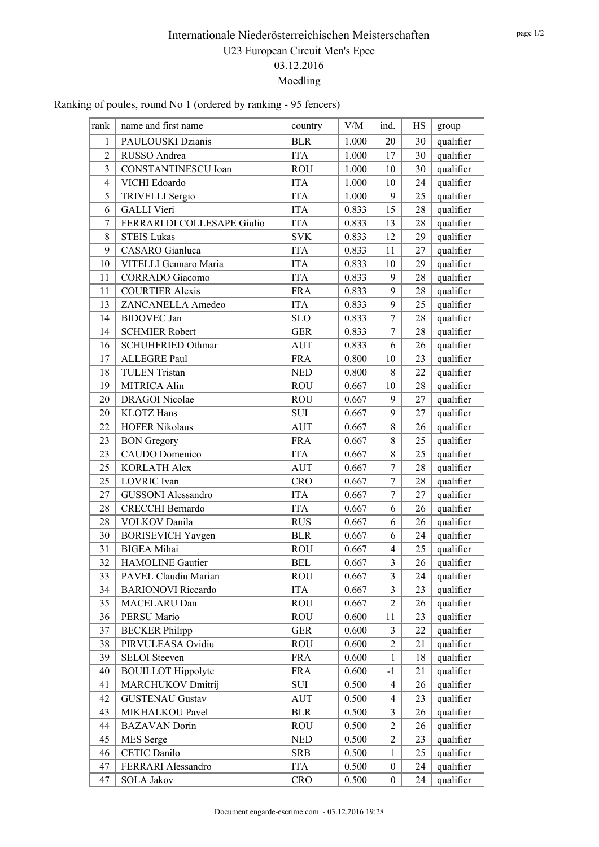### Ranking of poules, round No 1 (ordered by ranking - 95 fencers)

| rank           | name and first name         | country    | V/M   | ind.           | HS | group     |
|----------------|-----------------------------|------------|-------|----------------|----|-----------|
| 1              | PAULOUSKI Dzianis           | <b>BLR</b> | 1.000 | 20             | 30 | qualifier |
| $\overline{2}$ | RUSSO Andrea                | <b>ITA</b> | 1.000 | 17             | 30 | qualifier |
| 3              | <b>CONSTANTINESCU</b> Ioan  | <b>ROU</b> | 1.000 | 10             | 30 | qualifier |
| $\overline{4}$ | VICHI Edoardo               | <b>ITA</b> | 1.000 | 10             | 24 | qualifier |
| 5              | TRIVELLI Sergio             | <b>ITA</b> | 1.000 | 9              | 25 | qualifier |
| 6              | <b>GALLI</b> Vieri          | <b>ITA</b> | 0.833 | 15             | 28 | qualifier |
| $\tau$         | FERRARI DI COLLESAPE Giulio | <b>ITA</b> | 0.833 | 13             | 28 | qualifier |
| 8              | <b>STEIS Lukas</b>          | <b>SVK</b> | 0.833 | 12             | 29 | qualifier |
| 9              | CASARO Gianluca             | <b>ITA</b> | 0.833 | 11             | 27 | qualifier |
| 10             | VITELLI Gennaro Maria       | <b>ITA</b> | 0.833 | 10             | 29 | qualifier |
| 11             | <b>CORRADO</b> Giacomo      | <b>ITA</b> | 0.833 | 9              | 28 | qualifier |
| 11             | <b>COURTIER Alexis</b>      | <b>FRA</b> | 0.833 | 9              | 28 | qualifier |
| 13             | ZANCANELLA Amedeo           | <b>ITA</b> | 0.833 | 9              | 25 | qualifier |
| 14             | <b>BIDOVEC</b> Jan          | <b>SLO</b> | 0.833 | $\overline{7}$ | 28 | qualifier |
| 14             | <b>SCHMIER Robert</b>       | <b>GER</b> | 0.833 | $\overline{7}$ | 28 | qualifier |
| 16             | <b>SCHUHFRIED Othmar</b>    | <b>AUT</b> | 0.833 | 6              | 26 | qualifier |
| 17             | <b>ALLEGRE Paul</b>         | <b>FRA</b> | 0.800 | 10             | 23 | qualifier |
| 18             | <b>TULEN Tristan</b>        | <b>NED</b> | 0.800 | 8              | 22 | qualifier |
| 19             | <b>MITRICA Alin</b>         | <b>ROU</b> | 0.667 | 10             | 28 | qualifier |
| 20             | <b>DRAGOI</b> Nicolae       | <b>ROU</b> | 0.667 | 9              | 27 | qualifier |
| 20             | <b>KLOTZ</b> Hans           | <b>SUI</b> | 0.667 | 9              | 27 | qualifier |
| 22             | <b>HOFER Nikolaus</b>       | <b>AUT</b> | 0.667 | 8              | 26 | qualifier |
| 23             | <b>BON</b> Gregory          | <b>FRA</b> | 0.667 | 8              | 25 | qualifier |
| 23             | CAUDO Domenico              | <b>ITA</b> | 0.667 | 8              | 25 | qualifier |
| 25             | <b>KORLATH Alex</b>         | <b>AUT</b> | 0.667 | $\tau$         | 28 | qualifier |
| 25             | <b>LOVRIC</b> Ivan          | <b>CRO</b> | 0.667 | $\overline{7}$ | 28 | qualifier |
| 27             | <b>GUSSONI</b> Alessandro   | <b>ITA</b> | 0.667 | $\overline{7}$ | 27 | qualifier |
| 28             | <b>CRECCHI Bernardo</b>     | <b>ITA</b> | 0.667 | 6              | 26 | qualifier |
| 28             | <b>VOLKOV</b> Danila        | <b>RUS</b> | 0.667 | 6              | 26 | qualifier |
| 30             | <b>BORISEVICH Yavgen</b>    | <b>BLR</b> | 0.667 | 6              | 24 | qualifier |
| 31             | <b>BIGEA</b> Mihai          | <b>ROU</b> | 0.667 | $\overline{4}$ | 25 | qualifier |
| 32             | <b>HAMOLINE</b> Gautier     | <b>BEL</b> | 0.667 | $\overline{3}$ | 26 | qualifier |
| 33             | PAVEL Claudiu Marian        | <b>ROU</b> | 0.667 | $\overline{3}$ | 24 | qualifier |
| 34             | <b>BARIONOVI Riccardo</b>   | <b>ITA</b> | 0.667 | $\overline{3}$ | 23 | qualifier |
| 35             | MACELARU Dan                | <b>ROU</b> | 0.667 | $\overline{2}$ | 26 | qualifier |
| 36             | PERSU Mario                 | <b>ROU</b> | 0.600 | 11             | 23 | qualifier |
| 37             | <b>BECKER</b> Philipp       | <b>GER</b> | 0.600 | 3              | 22 | qualifier |
| 38             | PIRVULEASA Ovidiu           | <b>ROU</b> | 0.600 | $\overline{2}$ | 21 | qualifier |
| 39             | <b>SELOI</b> Steeven        | <b>FRA</b> | 0.600 | $\mathbf{1}$   | 18 | qualifier |
| 40             | <b>BOUILLOT</b> Hippolyte   | <b>FRA</b> | 0.600 | $-1$           | 21 | qualifier |
| 41             | MARCHUKOV Dmitrij           | SUI        | 0.500 | $\overline{4}$ | 26 | qualifier |
| 42             | <b>GUSTENAU Gustav</b>      | <b>AUT</b> | 0.500 | $\overline{4}$ | 23 | qualifier |
| 43             | MIKHALKOU Pavel             | <b>BLR</b> | 0.500 | 3              | 26 | qualifier |
| 44             | <b>BAZAVAN</b> Dorin        | <b>ROU</b> | 0.500 | $\overline{2}$ | 26 | qualifier |
| 45             | MES Serge                   | <b>NED</b> | 0.500 | $\overline{2}$ | 23 | qualifier |
| 46             | CETIC Danilo                | <b>SRB</b> | 0.500 | $\mathbf{1}$   | 25 | qualifier |
| 47             | FERRARI Alessandro          | <b>ITA</b> | 0.500 | $\overline{0}$ | 24 | qualifier |
| 47             | <b>SOLA Jakov</b>           | <b>CRO</b> | 0.500 | $\overline{0}$ | 24 | qualifier |
|                |                             |            |       |                |    |           |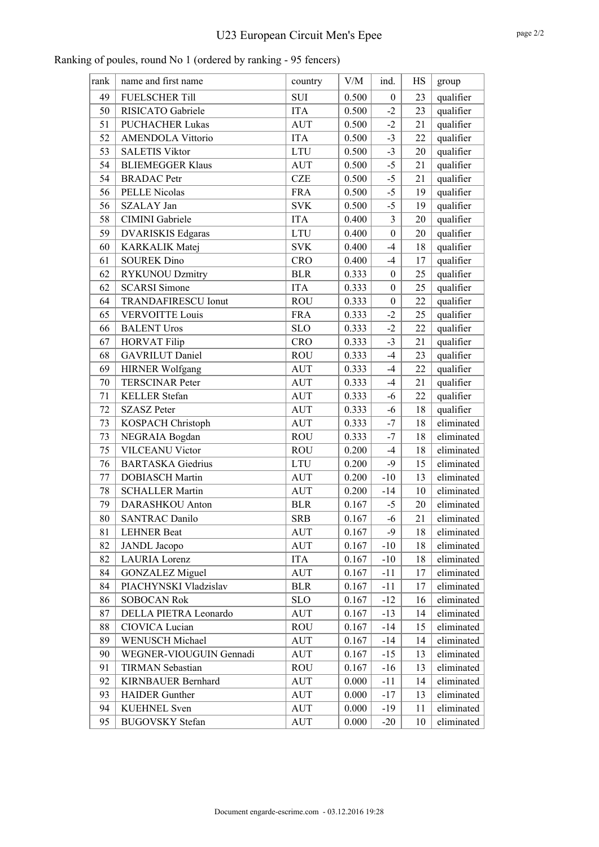| rank   | name and first name        | country    | V/M   | ind.             | HS | group      |
|--------|----------------------------|------------|-------|------------------|----|------------|
| 49     | <b>FUELSCHER Till</b>      | <b>SUI</b> | 0.500 | $\boldsymbol{0}$ | 23 | qualifier  |
| 50     | RISICATO Gabriele          | <b>ITA</b> | 0.500 | $-2$             | 23 | qualifier  |
| 51     | <b>PUCHACHER Lukas</b>     | <b>AUT</b> | 0.500 | $-2$             | 21 | qualifier  |
| 52     | <b>AMENDOLA Vittorio</b>   | <b>ITA</b> | 0.500 | $-3$             | 22 | qualifier  |
| 53     | <b>SALETIS Viktor</b>      | <b>LTU</b> | 0.500 | $-3$             | 20 | qualifier  |
| 54     | <b>BLIEMEGGER Klaus</b>    | <b>AUT</b> | 0.500 | $-5$             | 21 | qualifier  |
| 54     | <b>BRADAC</b> Petr         | <b>CZE</b> | 0.500 | $-5$             | 21 | qualifier  |
| 56     | <b>PELLE Nicolas</b>       | <b>FRA</b> | 0.500 | $-5$             | 19 | qualifier  |
| 56     | SZALAY Jan                 | <b>SVK</b> | 0.500 | $-5$             | 19 | qualifier  |
| 58     | CIMINI Gabriele            | <b>ITA</b> | 0.400 | $\overline{3}$   | 20 | qualifier  |
| 59     | <b>DVARISKIS Edgaras</b>   | <b>LTU</b> | 0.400 | $\mathbf{0}$     | 20 | qualifier  |
| 60     | KARKALIK Matej             | <b>SVK</b> | 0.400 | $-4$             | 18 | qualifier  |
| 61     | <b>SOUREK Dino</b>         | <b>CRO</b> | 0.400 | $-4$             | 17 | qualifier  |
| 62     | <b>RYKUNOU Dzmitry</b>     | <b>BLR</b> | 0.333 | $\boldsymbol{0}$ | 25 | qualifier  |
| 62     | <b>SCARSI Simone</b>       | <b>ITA</b> | 0.333 | $\boldsymbol{0}$ | 25 | qualifier  |
| 64     | <b>TRANDAFIRESCU Ionut</b> | <b>ROU</b> | 0.333 | $\boldsymbol{0}$ | 22 | qualifier  |
| 65     | <b>VERVOITTE Louis</b>     | <b>FRA</b> | 0.333 | $-2$             | 25 | qualifier  |
| 66     | <b>BALENT Uros</b>         | <b>SLO</b> | 0.333 | $-2$             | 22 | qualifier  |
| 67     | <b>HORVAT Filip</b>        | <b>CRO</b> | 0.333 | $-3$             | 21 | qualifier  |
| 68     | <b>GAVRILUT</b> Daniel     | <b>ROU</b> | 0.333 | $-4$             | 23 | qualifier  |
| 69     | HIRNER Wolfgang            | <b>AUT</b> | 0.333 | $-4$             | 22 | qualifier  |
| 70     | <b>TERSCINAR Peter</b>     | <b>AUT</b> | 0.333 | $-4$             | 21 | qualifier  |
| 71     | <b>KELLER</b> Stefan       | <b>AUT</b> | 0.333 | $-6$             | 22 | qualifier  |
| 72     | <b>SZASZ Peter</b>         | <b>AUT</b> | 0.333 | $-6$             | 18 | qualifier  |
| 73     | KOSPACH Christoph          | <b>AUT</b> | 0.333 | $-7$             | 18 | eliminated |
| 73     | NEGRAIA Bogdan             | <b>ROU</b> | 0.333 | $-7$             | 18 | eliminated |
| 75     | <b>VILCEANU Victor</b>     | <b>ROU</b> | 0.200 | $-4$             | 18 | eliminated |
| 76     | <b>BARTASKA</b> Giedrius   | <b>LTU</b> | 0.200 | $-9$             | 15 | eliminated |
| 77     | <b>DOBIASCH Martin</b>     | <b>AUT</b> | 0.200 | $-10$            | 13 | eliminated |
| 78     | <b>SCHALLER Martin</b>     | <b>AUT</b> | 0.200 | $-14$            | 10 | eliminated |
| 79     | <b>DARASHKOU</b> Anton     | <b>BLR</b> | 0.167 | $-5$             | 20 | eliminated |
| $80\,$ | <b>SANTRAC Danilo</b>      | <b>SRB</b> | 0.167 | $-6$             | 21 | eliminated |
| 81     | <b>LEHNER Beat</b>         | AUT        | 0.167 | $-9$             | 18 | eliminated |
| 82     | <b>JANDL</b> Jacopo        | AUT        | 0.167 | $-10$            | 18 | eliminated |
| 82     | <b>LAURIA</b> Lorenz       | <b>ITA</b> | 0.167 | $-10$            | 18 | eliminated |
| 84     | <b>GONZALEZ Miguel</b>     | <b>AUT</b> | 0.167 | $-11$            | 17 | eliminated |
| 84     | PIACHYNSKI Vladzislav      | <b>BLR</b> | 0.167 | $-11$            | 17 | eliminated |
| 86     | <b>SOBOCAN Rok</b>         | <b>SLO</b> | 0.167 | $-12$            | 16 | eliminated |
| 87     | DELLA PIETRA Leonardo      | <b>AUT</b> | 0.167 | $-13$            | 14 | eliminated |
| 88     | CIOVICA Lucian             | ROU        | 0.167 | $-14$            | 15 | eliminated |
| 89     | WENUSCH Michael            | AUT        | 0.167 | $-14$            | 14 | eliminated |
| 90     | WEGNER-VIOUGUIN Gennadi    | AUT        | 0.167 | $-15$            | 13 | eliminated |
| 91     | <b>TIRMAN Sebastian</b>    | <b>ROU</b> | 0.167 | $-16$            | 13 | eliminated |
| 92     | KIRNBAUER Bernhard         | AUT        | 0.000 | $-11$            | 14 | eliminated |
| 93     | <b>HAIDER</b> Gunther      | <b>AUT</b> | 0.000 | $-17$            | 13 | eliminated |
| 94     | <b>KUEHNEL</b> Sven        | AUT        | 0.000 | $-19$            | 11 | eliminated |
| 95     | <b>BUGOVSKY</b> Stefan     | <b>AUT</b> | 0.000 | $-20$            | 10 | eliminated |
|        |                            |            |       |                  |    |            |

Ranking of poules, round No 1 (ordered by ranking - 95 fencers)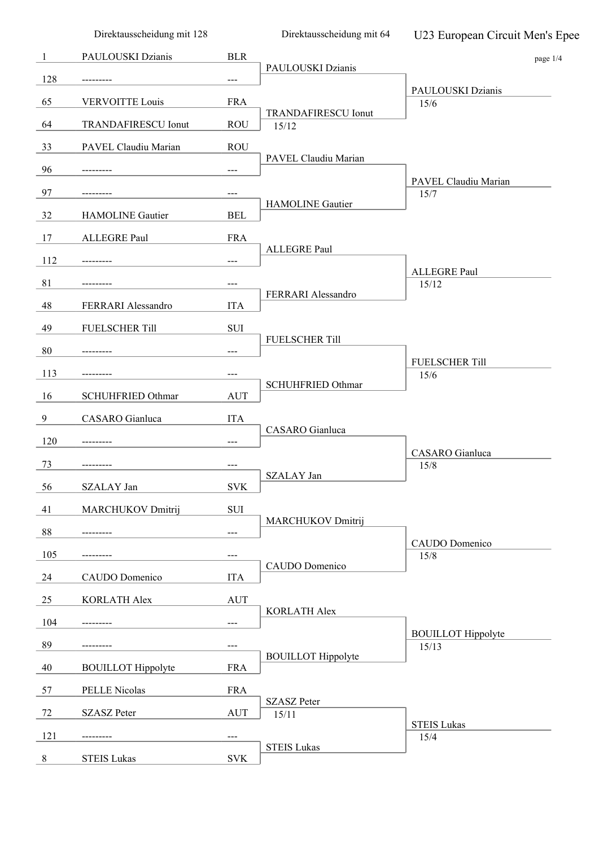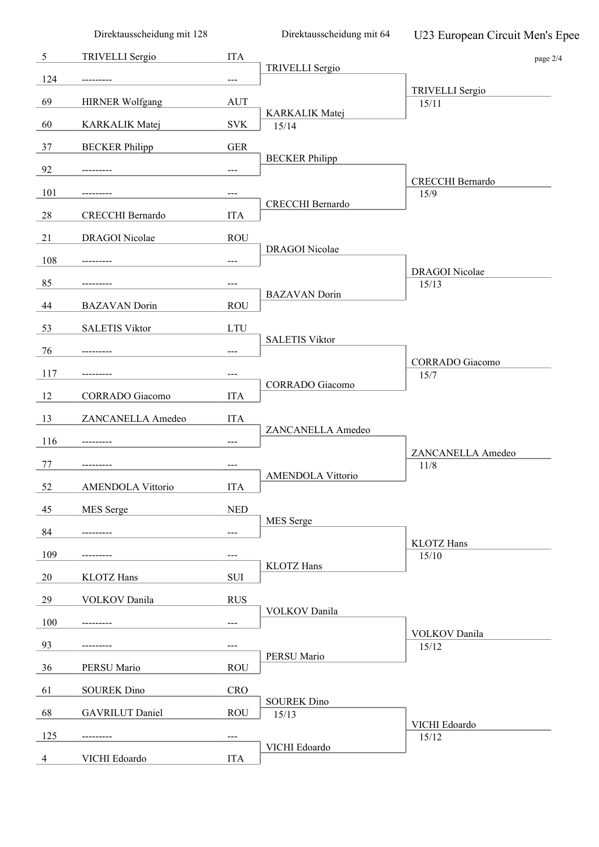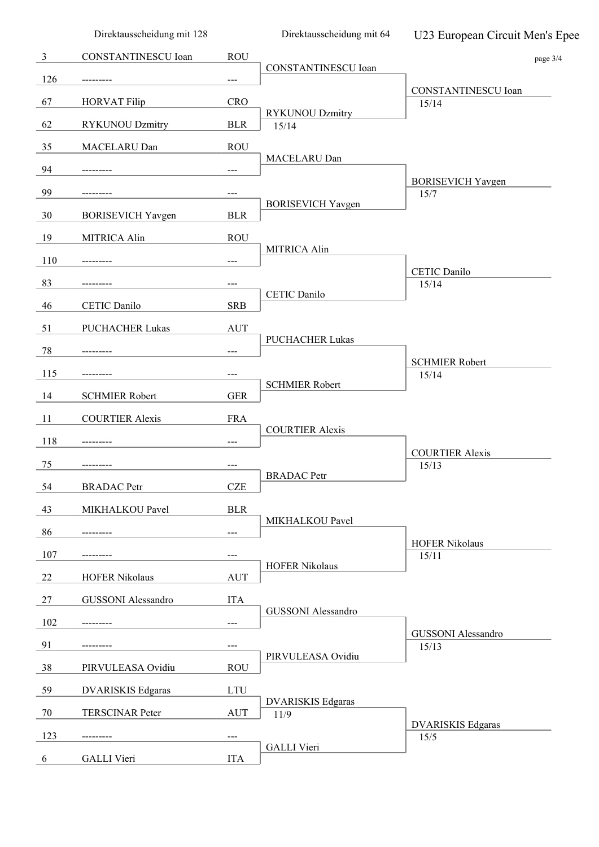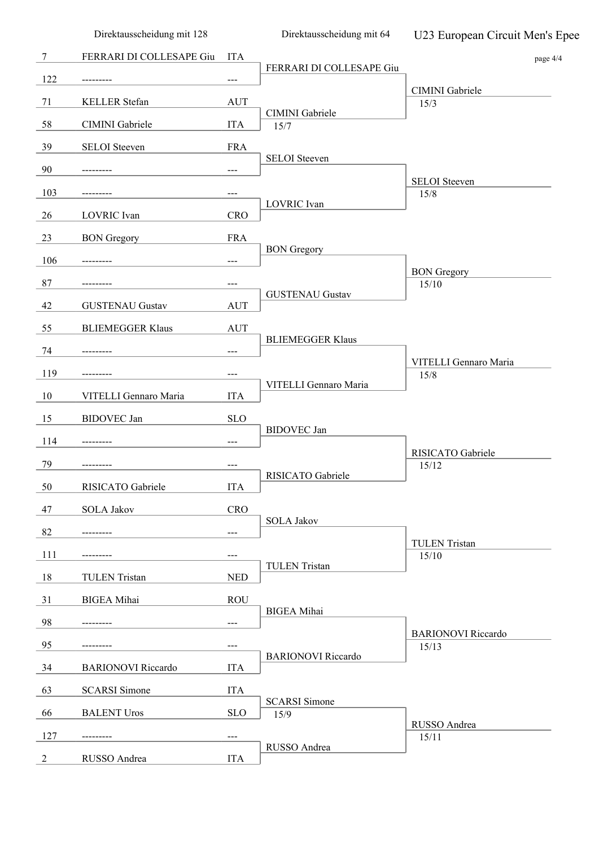|                | Direktausscheidung mit 128 |            | Direktausscheidung mit 64    | U23 European Circuit Men's Epee    |
|----------------|----------------------------|------------|------------------------------|------------------------------------|
| 7              | FERRARI DI COLLESAPE Giu   | <b>ITA</b> |                              | page 4/4                           |
| 122            |                            | ---        | FERRARI DI COLLESAPE Giu     |                                    |
| 71             | KELLER Stefan              | <b>AUT</b> |                              | CIMINI Gabriele<br>15/3            |
| 58             | CIMINI Gabriele            | <b>ITA</b> | CIMINI Gabriele<br>15/7      |                                    |
| 39             | <b>SELOI</b> Steeven       | <b>FRA</b> |                              |                                    |
| 90             |                            | ---        | <b>SELOI</b> Steeven         |                                    |
| 103            |                            | ---        |                              | <b>SELOI</b> Steeven<br>15/8       |
| 26             | LOVRIC Ivan                | <b>CRO</b> | LOVRIC Ivan                  |                                    |
| 23             | <b>BON</b> Gregory         | <b>FRA</b> |                              |                                    |
| 106            |                            | ---        | <b>BON</b> Gregory           |                                    |
| 87             |                            | ---        |                              | <b>BON</b> Gregory<br>15/10        |
| 42             | <b>GUSTENAU Gustav</b>     | <b>AUT</b> | <b>GUSTENAU Gustav</b>       |                                    |
| 55             | <b>BLIEMEGGER Klaus</b>    | <b>AUT</b> |                              |                                    |
| 74             |                            | ---        | <b>BLIEMEGGER Klaus</b>      |                                    |
| 119            |                            | ---        |                              | VITELLI Gennaro Maria<br>15/8      |
| 10             | VITELLI Gennaro Maria      | <b>ITA</b> | VITELLI Gennaro Maria        |                                    |
| 15             | <b>BIDOVEC</b> Jan         | $\rm SLO$  |                              |                                    |
| 114            |                            | ---        | <b>BIDOVEC</b> Jan           |                                    |
| 79             |                            | $---$      |                              | RISICATO Gabriele<br>15/12         |
| 50             | RISICATO Gabriele          | <b>ITA</b> | RISICATO Gabriele            |                                    |
| 47             | <b>SOLA Jakov</b>          | <b>CRO</b> |                              |                                    |
| 82             |                            | ---        | <b>SOLA Jakov</b>            |                                    |
| 111            |                            | ---        |                              | <b>TULEN Tristan</b><br>15/10      |
| 18             | <b>TULEN Tristan</b>       | <b>NED</b> | <b>TULEN Tristan</b>         |                                    |
| 31             | <b>BIGEA Mihai</b>         | <b>ROU</b> |                              |                                    |
| 98             |                            | ---        | <b>BIGEA</b> Mihai           |                                    |
| 95             |                            | ---        |                              | <b>BARIONOVI</b> Riccardo<br>15/13 |
| 34             | <b>BARIONOVI</b> Riccardo  | <b>ITA</b> | <b>BARIONOVI</b> Riccardo    |                                    |
| 63             | <b>SCARSI</b> Simone       | <b>ITA</b> |                              |                                    |
| 66             | <b>BALENT Uros</b>         | <b>SLO</b> | <b>SCARSI</b> Simone<br>15/9 |                                    |
| 127            |                            | $---$      |                              | RUSSO Andrea<br>15/11              |
| $\overline{c}$ | RUSSO Andrea               | <b>ITA</b> | RUSSO Andrea                 |                                    |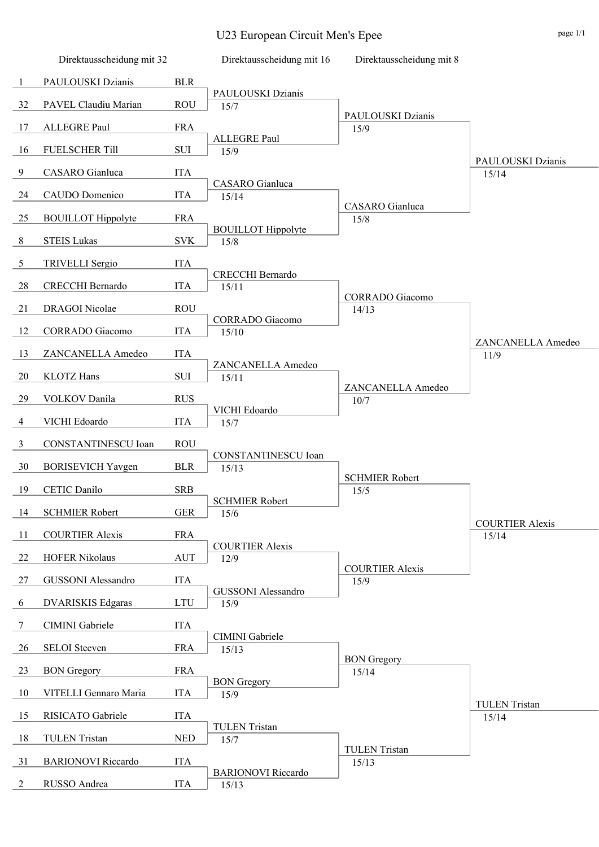U23 European Circuit Men's Epee page 1/1

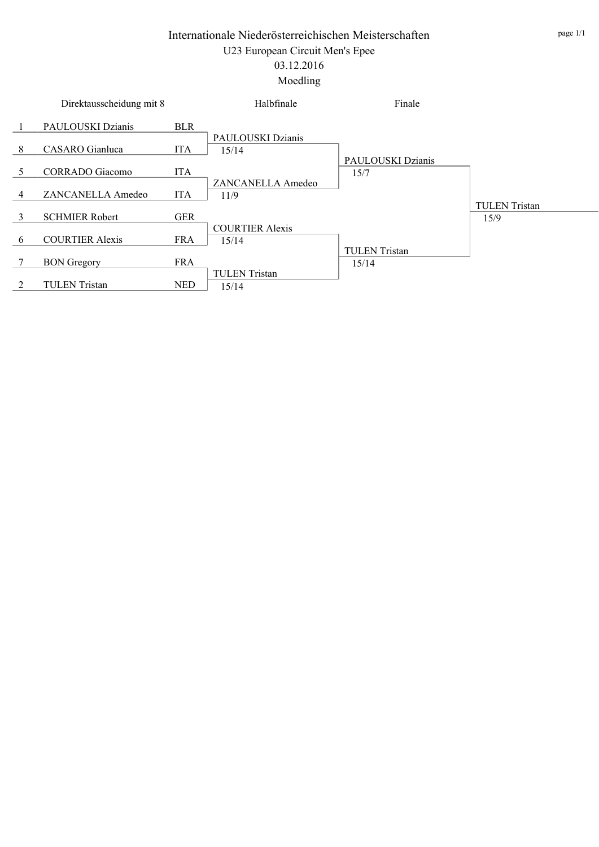|   | Direktausscheidung mit 8 |            | Halbfinale                      | Finale                        |                      |
|---|--------------------------|------------|---------------------------------|-------------------------------|----------------------|
|   | PAULOUSKI Dzianis        | <b>BLR</b> |                                 |                               |                      |
| 8 | CASARO Gianluca          | <b>ITA</b> | PAULOUSKI Dzianis<br>15/14      |                               |                      |
|   |                          |            |                                 | PAULOUSKI Dzianis             |                      |
| 5 | CORRADO Giacomo          | <b>ITA</b> |                                 | 15/7                          |                      |
| 4 | ZANCANELLA Amedeo        | <b>ITA</b> | ZANCANELLA Amedeo<br>11/9       |                               |                      |
|   |                          |            |                                 |                               | <b>TULEN</b> Tristan |
| 3 | <b>SCHMIER Robert</b>    | <b>GER</b> |                                 |                               | 15/9                 |
| 6 | <b>COURTIER Alexis</b>   | <b>FRA</b> | <b>COURTIER Alexis</b><br>15/14 |                               |                      |
|   | <b>BON</b> Gregory       | <b>FRA</b> |                                 | <b>TULEN</b> Tristan<br>15/14 |                      |
|   |                          |            | <b>TULEN</b> Tristan            |                               |                      |
|   | <b>TULEN</b> Tristan     | <b>NED</b> | 15/14                           |                               |                      |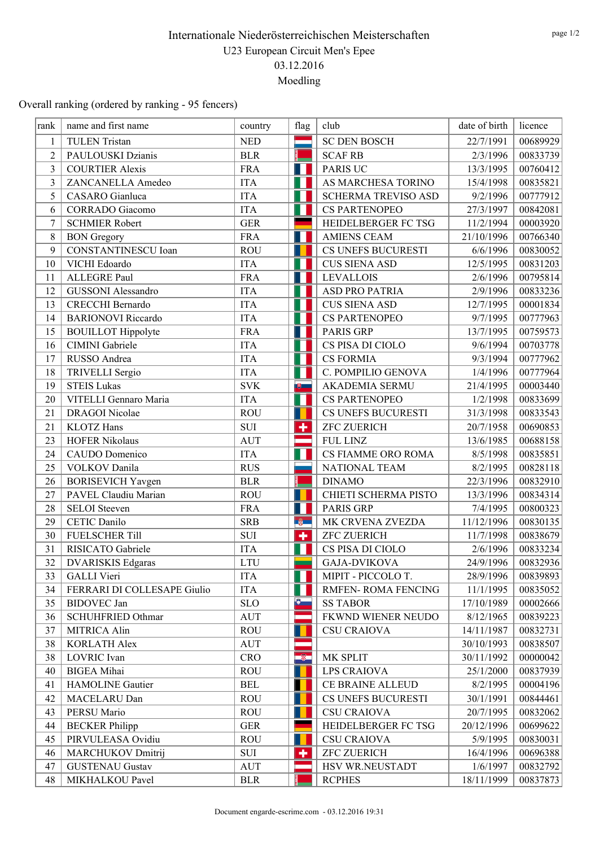Overall ranking (ordered by ranking - 95 fencers)

| rank           | name and first name         | country    | flag      | club                       | date of birth | licence  |
|----------------|-----------------------------|------------|-----------|----------------------------|---------------|----------|
| $\mathbf{1}$   | <b>TULEN Tristan</b>        | <b>NED</b> |           | <b>SC DEN BOSCH</b>        | 22/7/1991     | 00689929 |
| $\overline{2}$ | PAULOUSKI Dzianis           | <b>BLR</b> |           | <b>SCAF RB</b>             | 2/3/1996      | 00833739 |
| 3              | <b>COURTIER Alexis</b>      | <b>FRA</b> | Ш         | <b>PARIS UC</b>            | 13/3/1995     | 00760412 |
| $\overline{3}$ | ZANCANELLA Amedeo           | <b>ITA</b> | Н         | AS MARCHESA TORINO         | 15/4/1998     | 00835821 |
| 5              | CASARO Gianluca             | <b>ITA</b> | Ш         | <b>SCHERMA TREVISO ASD</b> | 9/2/1996      | 00777912 |
| 6              | <b>CORRADO</b> Giacomo      | <b>ITA</b> |           | <b>CS PARTENOPEO</b>       | 27/3/1997     | 00842081 |
| 7              | <b>SCHMIER Robert</b>       | <b>GER</b> |           | HEIDELBERGER FC TSG        | 11/2/1994     | 00003920 |
| 8              | <b>BON</b> Gregory          | <b>FRA</b> | ш         | <b>AMIENS CEAM</b>         | 21/10/1996    | 00766340 |
| 9              | <b>CONSTANTINESCU</b> Ioan  | <b>ROU</b> |           | CS UNEFS BUCURESTI         | 6/6/1996      | 00830052 |
| 10             | VICHI Edoardo               | <b>ITA</b> |           | <b>CUS SIENA ASD</b>       | 12/5/1995     | 00831203 |
| 11             | ALLEGRE Paul                | <b>FRA</b> | Ш         | <b>LEVALLOIS</b>           | 2/6/1996      | 00795814 |
| 12             | <b>GUSSONI</b> Alessandro   | <b>ITA</b> | Н         | ASD PRO PATRIA             | 2/9/1996      | 00833236 |
| 13             | CRECCHI Bernardo            | <b>ITA</b> | Ш         | <b>CUS SIENA ASD</b>       | 12/7/1995     | 00001834 |
| 14             | <b>BARIONOVI</b> Riccardo   | <b>ITA</b> |           | CS PARTENOPEO              | 9/7/1995      | 00777963 |
| 15             | <b>BOUILLOT</b> Hippolyte   | <b>FRA</b> | ш         | PARIS GRP                  | 13/7/1995     | 00759573 |
| 16             | CIMINI Gabriele             | <b>ITA</b> | Н         | CS PISA DI CIOLO           | 9/6/1994      | 00703778 |
| 17             | RUSSO Andrea                | <b>ITA</b> | H         | <b>CS FORMIA</b>           | 9/3/1994      | 00777962 |
| 18             | TRIVELLI Sergio             | <b>ITA</b> |           | C. POMPILIO GENOVA         | 1/4/1996      | 00777964 |
| 19             | <b>STEIS Lukas</b>          | <b>SVK</b> | (明)       | AKADEMIA SERMU             | 21/4/1995     | 00003440 |
| 20             | VITELLI Gennaro Maria       | <b>ITA</b> | Н         | CS PARTENOPEO              | 1/2/1998      | 00833699 |
| 21             | <b>DRAGOI</b> Nicolae       | <b>ROU</b> |           | CS UNEFS BUCURESTI         | 31/3/1998     | 00833543 |
| 21             | <b>KLOTZ</b> Hans           | SUI        | ٠         | <b>ZFC ZUERICH</b>         | 20/7/1958     | 00690853 |
| 23             | <b>HOFER Nikolaus</b>       | <b>AUT</b> |           | FUL LINZ                   | 13/6/1985     | 00688158 |
| 24             | CAUDO Domenico              | <b>ITA</b> | Н         | CS FIAMME ORO ROMA         | 8/5/1998      | 00835851 |
| 25             | VOLKOV Danila               | <b>RUS</b> |           | NATIONAL TEAM              | 8/2/1995      | 00828118 |
| 26             | <b>BORISEVICH Yavgen</b>    | <b>BLR</b> |           | <b>DINAMO</b>              | 22/3/1996     | 00832910 |
| 27             | PAVEL Claudiu Marian        | <b>ROU</b> |           | CHIETI SCHERMA PISTO       | 13/3/1996     | 00834314 |
| 28             | <b>SELOI</b> Steeven        | <b>FRA</b> | п         | <b>PARIS GRP</b>           | 7/4/1995      | 00800323 |
| 29             | CETIC Danilo                | <b>SRB</b> | <b>B</b>  | MK CRVENA ZVEZDA           | 11/12/1996    | 00830135 |
| 30             | <b>FUELSCHER Till</b>       | SUI        | ٠         | <b>ZFC ZUERICH</b>         | 11/7/1998     | 00838679 |
| 31             | RISICATO Gabriele           | <b>ITA</b> | ш         | CS PISA DI CIOLO           | 2/6/1996      | 00833234 |
| 32             | <b>DVARISKIS Edgaras</b>    | <b>LTU</b> |           | <b>GAJA-DVIKOVA</b>        | 24/9/1996     | 00832936 |
| 33             | <b>GALLI</b> Vieri          | <b>ITA</b> | ш         | MIPIT - PICCOLO T.         | 28/9/1996     | 00839893 |
| 34             | FERRARI DI COLLESAPE Giulio | <b>ITA</b> |           | <b>RMFEN- ROMA FENCING</b> | 11/1/1995     | 00835052 |
| 35             | <b>BIDOVEC</b> Jan          | <b>SLO</b> | $\bullet$ | <b>SS TABOR</b>            | 17/10/1989    | 00002666 |
| 36             | SCHUHFRIED Othmar           | <b>AUT</b> |           | FKWND WIENER NEUDO         | 8/12/1965     | 00839223 |
| 37             | MITRICA Alin                | <b>ROU</b> |           | <b>CSU CRAIOVA</b>         | 14/11/1987    | 00832731 |
| 38             | <b>KORLATH Alex</b>         | <b>AUT</b> |           |                            | 30/10/1993    | 00838507 |
| 38             | LOVRIC Ivan                 | <b>CRO</b> | -8-       | MK SPLIT                   | 30/11/1992    | 00000042 |
| 40             | <b>BIGEA</b> Mihai          | <b>ROU</b> |           | LPS CRAIOVA                | 25/1/2000     | 00837939 |
| 41             | HAMOLINE Gautier            | <b>BEL</b> |           | CE BRAINE ALLEUD           | 8/2/1995      | 00004196 |
| 42             | MACELARU Dan                | <b>ROU</b> |           | CS UNEFS BUCURESTI         | 30/1/1991     | 00844461 |
| 43             | PERSU Mario                 | <b>ROU</b> |           | <b>CSU CRAIOVA</b>         | 20/7/1995     | 00832062 |
| 44             | <b>BECKER</b> Philipp       | <b>GER</b> |           | HEIDELBERGER FC TSG        | 20/12/1996    | 00699622 |
| 45             | PIRVULEASA Ovidiu           | <b>ROU</b> |           | <b>CSU CRAIOVA</b>         | 5/9/1995      | 00830031 |
| 46             | MARCHUKOV Dmitrij           | SUI        | ٠         | <b>ZFC ZUERICH</b>         | 16/4/1996     | 00696388 |
| 47             | <b>GUSTENAU Gustav</b>      | <b>AUT</b> |           | HSV WR.NEUSTADT            | 1/6/1997      | 00832792 |
| 48             | MIKHALKOU Pavel             | <b>BLR</b> |           | <b>RCPHES</b>              | 18/11/1999    | 00837873 |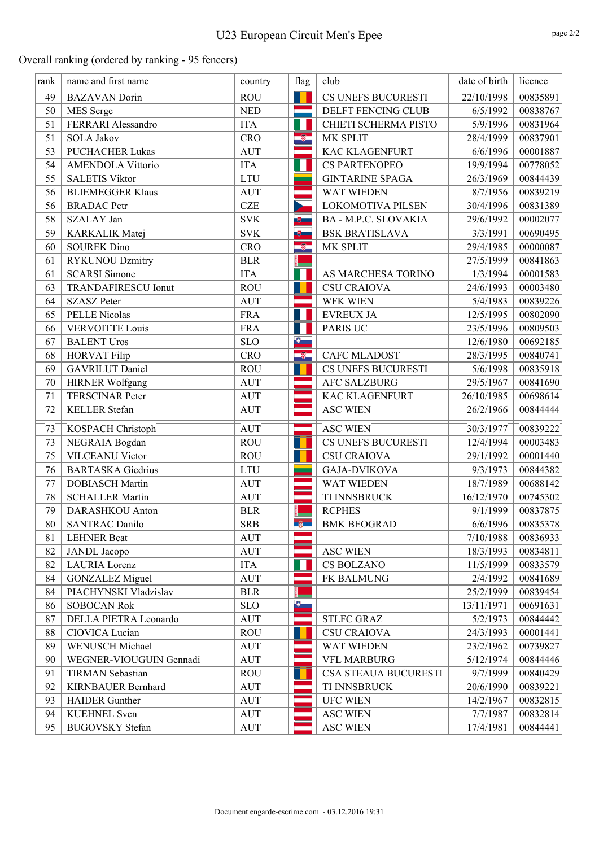# U23 European Circuit Men's Epee

Overall ranking (ordered by ranking - 95 fencers)

| rank | name and first name        | country    | flag                    | club                     | date of birth | licence             |
|------|----------------------------|------------|-------------------------|--------------------------|---------------|---------------------|
| 49   | <b>BAZAVAN</b> Dorin       | <b>ROU</b> | $\blacksquare$          | CS UNEFS BUCURESTI       | 22/10/1998    | 00835891            |
| 50   | MES Serge                  | <b>NED</b> | m.                      | DELFT FENCING CLUB       | 6/5/1992      | 00838767            |
| 51   | FERRARI Alessandro         | <b>ITA</b> | П                       | CHIETI SCHERMA PISTO     | 5/9/1996      | 00831964            |
| 51   | <b>SOLA Jakov</b>          | <b>CRO</b> | $\bullet$               | MK SPLIT                 | 28/4/1999     | 00837901            |
| 53   | <b>PUCHACHER Lukas</b>     | <b>AUT</b> |                         | <b>KAC KLAGENFURT</b>    | 6/6/1996      | 00001887            |
| 54   | <b>AMENDOLA Vittorio</b>   | <b>ITA</b> | Ш                       | <b>CS PARTENOPEO</b>     | 19/9/1994     | 00778052            |
| 55   | <b>SALETIS Viktor</b>      | <b>LTU</b> |                         | <b>GINTARINE SPAGA</b>   | 26/3/1969     | 00844439            |
| 56   | <b>BLIEMEGGER Klaus</b>    | <b>AUT</b> |                         | WAT WIEDEN               | 8/7/1956      | 00839219            |
| 56   | <b>BRADAC</b> Petr         | <b>CZE</b> | ×                       | <b>LOKOMOTIVA PILSEN</b> | 30/4/1996     | 00831389            |
| 58   | SZALAY Jan                 | <b>SVK</b> | $\overline{\mathbf{e}}$ | BA - M.P.C. SLOVAKIA     | 29/6/1992     | 00002077            |
| 59   | KARKALIK Matej             | <b>SVK</b> | ■■                      | <b>BSK BRATISLAVA</b>    | 3/3/1991      | 00690495            |
| 60   | <b>SOUREK Dino</b>         | <b>CRO</b> | ÷                       | MK SPLIT                 | 29/4/1985     | 00000087            |
| 61   | <b>RYKUNOU Dzmitry</b>     | <b>BLR</b> |                         |                          | 27/5/1999     | 00841863            |
| 61   | <b>SCARSI</b> Simone       | <b>ITA</b> | Н                       | AS MARCHESA TORINO       | 1/3/1994      | 00001583            |
| 63   | <b>TRANDAFIRESCU Ionut</b> | <b>ROU</b> |                         | <b>CSU CRAIOVA</b>       | 24/6/1993     | 00003480            |
| 64   | <b>SZASZ Peter</b>         | <b>AUT</b> |                         | WFK WIEN                 | 5/4/1983      | 00839226            |
| 65   | <b>PELLE Nicolas</b>       | <b>FRA</b> |                         | <b>EVREUX JA</b>         | 12/5/1995     | 00802090            |
| 66   | <b>VERVOITTE Louis</b>     | <b>FRA</b> | Ш                       | <b>PARIS UC</b>          | 23/5/1996     | 00809503            |
| 67   | <b>BALENT Uros</b>         | <b>SLO</b> | $\bullet$               |                          | 12/6/1980     | 00692185            |
| 68   | <b>HORVAT Filip</b>        | <b>CRO</b> | $\bullet$               | <b>CAFC MLADOST</b>      | 28/3/1995     | 00840741            |
| 69   | <b>GAVRILUT</b> Daniel     | <b>ROU</b> |                         | CS UNEFS BUCURESTI       | 5/6/1998      | 00835918            |
| 70   | <b>HIRNER Wolfgang</b>     | <b>AUT</b> | ÷                       | AFC SALZBURG             | 29/5/1967     | 00841690            |
| 71   | <b>TERSCINAR Peter</b>     | <b>AUT</b> |                         | <b>KAC KLAGENFURT</b>    | 26/10/1985    | 00698614            |
| 72   | KELLER Stefan              | <b>AUT</b> |                         | <b>ASC WIEN</b>          | 26/2/1966     | 00844444            |
| 73   | KOSPACH Christoph          | <b>AUT</b> |                         | <b>ASC WIEN</b>          | 30/3/1977     | 00839222            |
| 73   | NEGRAIA Bogdan             | <b>ROU</b> |                         | CS UNEFS BUCURESTI       | 12/4/1994     | 00003483            |
| 75   | <b>VILCEANU Victor</b>     | <b>ROU</b> |                         | <b>CSU CRAIOVA</b>       | 29/1/1992     | 00001440            |
| 76   | <b>BARTASKA</b> Giedrius   | <b>LTU</b> |                         | <b>GAJA-DVIKOVA</b>      | 9/3/1973      | 00844382            |
| 77   | <b>DOBIASCH Martin</b>     | <b>AUT</b> |                         | WAT WIEDEN               | 18/7/1989     | 00688142            |
| 78   | <b>SCHALLER Martin</b>     | <b>AUT</b> |                         | TI INNSBRUCK             | 16/12/1970    | 00745302            |
| 79   | DARASHKOU Anton            | <b>BLR</b> |                         | <b>RCPHES</b>            | 9/1/1999      | 00837875            |
| 80   | <b>SANTRAC Danilo</b>      | <b>SRB</b> | $-6$                    | <b>BMK BEOGRAD</b>       |               | $6/6/1996$ 00835378 |
| 81   | <b>LEHNER Beat</b>         | <b>AUT</b> |                         |                          | 7/10/1988     | 00836933            |
| 82   | <b>JANDL</b> Jacopo        | <b>AUT</b> |                         | <b>ASC WIEN</b>          | 18/3/1993     | 00834811            |
| 82   | LAURIA Lorenz              | <b>ITA</b> |                         | CS BOLZANO               | 11/5/1999     | 00833579            |
| 84   | <b>GONZALEZ Miguel</b>     | <b>AUT</b> |                         | FK BALMUNG               | 2/4/1992      | 00841689            |
| 84   | PIACHYNSKI Vladzislav      | <b>BLR</b> |                         |                          | 25/2/1999     | 00839454            |
| 86   | <b>SOBOCAN Rok</b>         | <b>SLO</b> | $\bullet$               |                          | 13/11/1971    | 00691631            |
| 87   | DELLA PIETRA Leonardo      | <b>AUT</b> |                         | <b>STLFC GRAZ</b>        | 5/2/1973      | 00844442            |
| 88   | CIOVICA Lucian             | <b>ROU</b> |                         | <b>CSU CRAIOVA</b>       | 24/3/1993     | 00001441            |
| 89   | <b>WENUSCH Michael</b>     | AUT        |                         | WAT WIEDEN               | 23/2/1962     | 00739827            |
| 90   | WEGNER-VIOUGUIN Gennadi    | <b>AUT</b> |                         | <b>VFL MARBURG</b>       | 5/12/1974     | 00844446            |
| 91   | <b>TIRMAN</b> Sebastian    | <b>ROU</b> |                         | CSA STEAUA BUCURESTI     | 9/7/1999      | 00840429            |
| 92   | <b>KIRNBAUER Bernhard</b>  | <b>AUT</b> |                         | TI INNSBRUCK             | 20/6/1990     | 00839221            |
| 93   | <b>HAIDER</b> Gunther      | <b>AUT</b> |                         | <b>UFC WIEN</b>          | 14/2/1967     | 00832815            |
| 94   | <b>KUEHNEL</b> Sven        | <b>AUT</b> |                         | <b>ASC WIEN</b>          | 7/7/1987      | 00832814            |
| 95   | <b>BUGOVSKY</b> Stefan     | AUT        |                         | <b>ASC WIEN</b>          | 17/4/1981     | 00844441            |